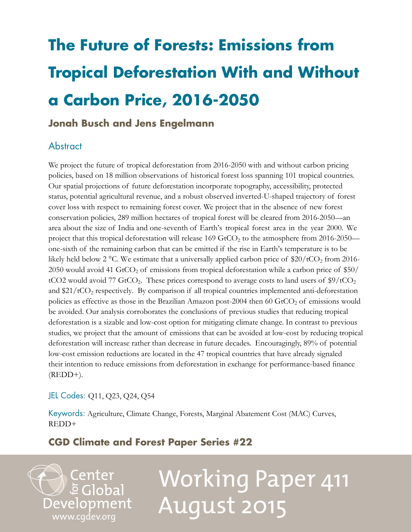## **The Future of Forests: Emissions from Tropical Deforestation With and Without a Carbon Price, 2016-2050**

## **Jonah Busch and Jens Engelmann**

## **Abstract**

We project the future of tropical deforestation from 2016-2050 with and without carbon pricing policies, based on 18 million observations of historical forest loss spanning 101 tropical countries. Our spatial projections of future deforestation incorporate topography, accessibility, protected status, potential agricultural revenue, and a robust observed inverted-U-shaped trajectory of forest cover loss with respect to remaining forest cover. We project that in the absence of new forest conservation policies, 289 million hectares of tropical forest will be cleared from 2016-2050—an area about the size of India and one-seventh of Earth's tropical forest area in the year 2000. We project that this tropical deforestation will release 169 GtCO<sub>2</sub> to the atmosphere from 2016-2050 one-sixth of the remaining carbon that can be emitted if the rise in Earth's temperature is to be likely held below 2 °C. We estimate that a universally applied carbon price of  $20/tCO<sub>2</sub>$  from 2016-2050 would avoid 41 GtCO<sub>2</sub> of emissions from tropical deforestation while a carbon price of  $$50/$ tCO2 would avoid 77 GtCO<sub>2</sub>. These prices correspond to average costs to land users of  $\frac{10}{2}$  tCO<sub>2</sub> and  $21/tCO<sub>2</sub>$  respectively. By comparison if all tropical countries implemented anti-deforestation policies as effective as those in the Brazilian Amazon post-2004 then  $60 \text{ GtCO}_2$  of emissions would be avoided. Our analysis corroborates the conclusions of previous studies that reducing tropical deforestation is a sizable and low-cost option for mitigating climate change. In contrast to previous studies, we project that the amount of emissions that can be avoided at low-cost by reducing tropical deforestation will increase rather than decrease in future decades. Encouragingly, 89% of potential low-cost emission reductions are located in the 47 tropical countries that have already signaled their intention to reduce emissions from deforestation in exchange for performance-based finance  $(REDD+).$ 

## JEL Codes: Q11, Q23, Q24, Q54

Keywords: Agriculture, Climate Change, Forests, Marginal Abatement Cost (MAC) Curves, REDD+

## **CGD Climate and Forest Paper Series #22**

Center e Global **Development** [www.cgdev.org](http://www.cgdev.org)

# Working Paper 411 August 2015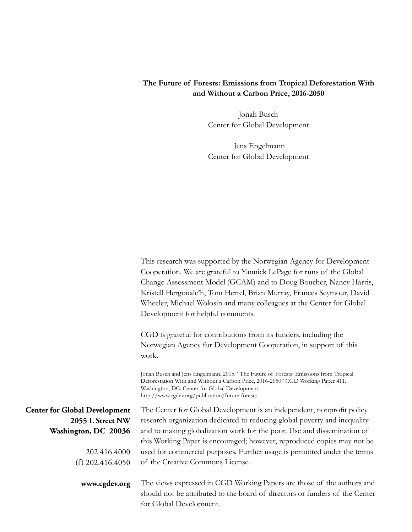## **The Future of Forests: Emissions from Tropical Deforestation With and Without a Carbon Price, 2016-2050**

Jonah Busch Center for Global Development

 Jens Engelmann Center for Global Development

|                                                                                                  | This research was supported by the Norwegian Agency for Development<br>Cooperation. We are grateful to Yannick LePage for runs of the Global<br>Change Assessment Model (GCAM) and to Doug Boucher, Nancy Harris,<br>Kristell Hergoualc'h, Tom Hertel, Brian Murray, Frances Seymour, David<br>Wheeler, Michael Wolosin and many colleagues at the Center for Global<br>Development for helpful comments. |
|--------------------------------------------------------------------------------------------------|-----------------------------------------------------------------------------------------------------------------------------------------------------------------------------------------------------------------------------------------------------------------------------------------------------------------------------------------------------------------------------------------------------------|
|                                                                                                  | CGD is grateful for contributions from its funders, including the<br>Norwegian Agency for Development Cooperation, in support of this<br>work.                                                                                                                                                                                                                                                            |
|                                                                                                  | Jonah Busch and Jens Engelmann. 2015. "The Future of Forests: Emissions from Tropical<br>Deforestation With and Without a Carbon Price, 2016-2050" CGD Working Paper 411.<br>Washington, DC: Center for Global Development.<br>http://www.cgdev.org/publication/future-forests                                                                                                                            |
| <b>Center for Global Development</b><br>2055 L Street NW<br>Washington, DC 20036<br>202.416.4000 | The Center for Global Development is an independent, nonprofit policy<br>research organization dedicated to reducing global poverty and inequality<br>and to making globalization work for the poor. Use and dissemination of<br>this Working Paper is encouraged; however, reproduced copies may not be<br>used for commercial purposes. Further usage is permitted under the terms                      |
| (f) $202.416.4050$                                                                               | of the Creative Commons License.                                                                                                                                                                                                                                                                                                                                                                          |
| www.cgdev.org                                                                                    | The views expressed in CGD Working Papers are those of the authors and<br>should not be attributed to the board of directors or funders of the Center<br>for Global Development.                                                                                                                                                                                                                          |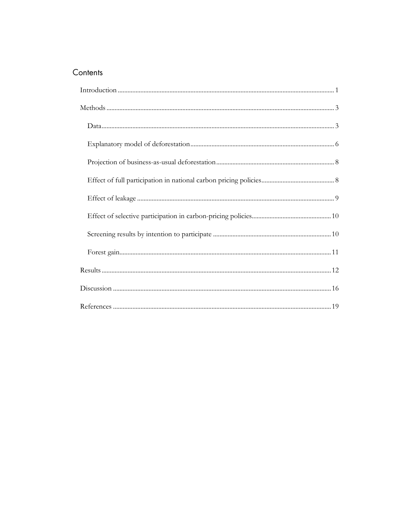## Contents

<span id="page-2-0"></span>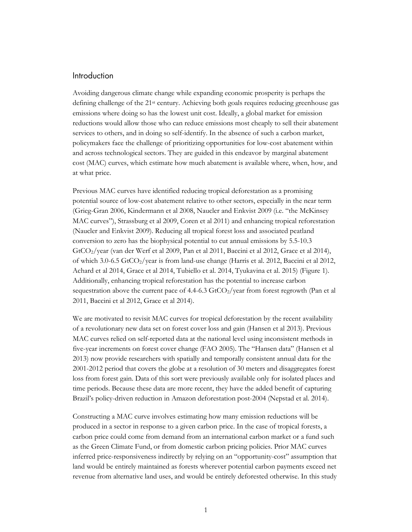#### Introduction

Avoiding dangerous climate change while expanding economic prosperity is perhaps the defining challenge of the 21st century. Achieving both goals requires reducing greenhouse gas emissions where doing so has the lowest unit cost. Ideally, a global market for emission reductions would allow those who can reduce emissions most cheaply to sell their abatement services to others, and in doing so self-identify. In the absence of such a carbon market, policymakers face the challenge of prioritizing opportunities for low-cost abatement within and across technological sectors. They are guided in this endeavor by marginal abatement cost (MAC) curves, which estimate how much abatement is available where, when, how, and at what price.

Previous MAC curves have identified reducing tropical deforestation as a promising potential source of low-cost abatement relative to other sectors, especially in the near term (Grieg-Gran 2006, Kindermann et al 2008, Naucler and Enkvist 2009 (i.e. "the McKinsey MAC curves"), Strassburg et al 2009, Coren et al 2011) and enhancing tropical reforestation (Naucler and Enkvist 2009). Reducing all tropical forest loss and associated peatland conversion to zero has the biophysical potential to cut annual emissions by 5.5-10.3 GtCO2/year (van der Werf et al 2009, Pan et al 2011, Baccini et al 2012, Grace et al 2014), of which 3.0-6.5  $GtCO_2$ /year is from land-use change (Harris et al. 2012, Baccini et al 2012, Achard et al 2014, Grace et al 2014, Tubiello et al. 2014, Tyukavina et al. 2015) (Figure 1). Additionally, enhancing tropical reforestation has the potential to increase carbon sequestration above the current pace of 4.4-6.3 GtCO<sub>2</sub>/year from forest regrowth (Pan et al 2011, Baccini et al 2012, Grace et al 2014).

We are motivated to revisit MAC curves for tropical deforestation by the recent availability of a revolutionary new data set on forest cover loss and gain (Hansen et al 2013). Previous MAC curves relied on self-reported data at the national level using inconsistent methods in five-year increments on forest cover change (FAO 2005). The "Hansen data" (Hansen et al 2013) now provide researchers with spatially and temporally consistent annual data for the 2001-2012 period that covers the globe at a resolution of 30 meters and disaggregates forest loss from forest gain. Data of this sort were previously available only for isolated places and time periods. Because these data are more recent, they have the added benefit of capturing Brazil's policy-driven reduction in Amazon deforestation post-2004 (Nepstad et al. 2014).

Constructing a MAC curve involves estimating how many emission reductions will be produced in a sector in response to a given carbon price. In the case of tropical forests, a carbon price could come from demand from an international carbon market or a fund such as the Green Climate Fund, or from domestic carbon pricing policies. Prior MAC curves inferred price-responsiveness indirectly by relying on an "opportunity-cost" assumption that land would be entirely maintained as forests wherever potential carbon payments exceed net revenue from alternative land uses, and would be entirely deforested otherwise. In this study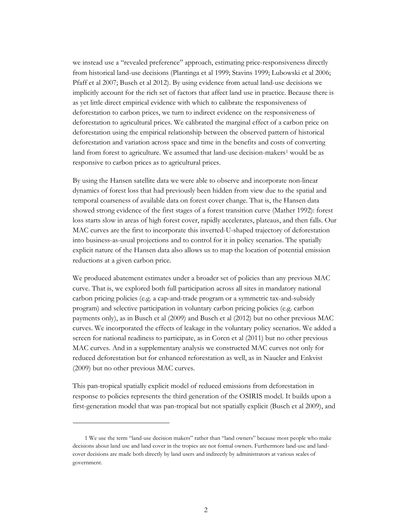we instead use a "revealed preference" approach, estimating price-responsiveness directly from historical land-use decisions (Plantinga et al 1999; Stavins 1999; Lubowski et al 2006; Pfaff et al 2007; Busch et al 2012). By using evidence from actual land-use decisions we implicitly account for the rich set of factors that affect land use in practice. Because there is as yet little direct empirical evidence with which to calibrate the responsiveness of deforestation to carbon prices, we turn to indirect evidence on the responsiveness of deforestation to agricultural prices. We calibrated the marginal effect of a carbon price on deforestation using the empirical relationship between the observed pattern of historical deforestation and variation across space and time in the benefits and costs of converting land from forest to agriculture. We assumed that land-use decision-makers<sup>[1](#page-4-0)</sup> would be as responsive to carbon prices as to agricultural prices.

By using the Hansen satellite data we were able to observe and incorporate non-linear dynamics of forest loss that had previously been hidden from view due to the spatial and temporal coarseness of available data on forest cover change. That is, the Hansen data showed strong evidence of the first stages of a forest transition curve (Mather 1992): forest loss starts slow in areas of high forest cover, rapidly accelerates, plateaus, and then falls. Our MAC curves are the first to incorporate this inverted-U-shaped trajectory of deforestation into business-as-usual projections and to control for it in policy scenarios. The spatially explicit nature of the Hansen data also allows us to map the location of potential emission reductions at a given carbon price.

We produced abatement estimates under a broader set of policies than any previous MAC curve. That is, we explored both full participation across all sites in mandatory national carbon pricing policies (e.g. a cap-and-trade program or a symmetric tax-and-subsidy program) and selective participation in voluntary carbon pricing policies (e.g. carbon payments only), as in Busch et al (2009) and Busch et al (2012) but no other previous MAC curves. We incorporated the effects of leakage in the voluntary policy scenarios. We added a screen for national readiness to participate, as in Coren et al (2011) but no other previous MAC curves. And in a supplementary analysis we constructed MAC curves not only for reduced deforestation but for enhanced reforestation as well, as in Naucler and Enkvist (2009) but no other previous MAC curves.

This pan-tropical spatially explicit model of reduced emissions from deforestation in response to policies represents the third generation of the OSIRIS model. It builds upon a first-generation model that was pan-tropical but not spatially explicit (Busch et al 2009), and

<span id="page-4-0"></span><sup>1</sup> We use the term "land-use decision makers" rather than "land owners" because most people who make decisions about land use and land cover in the tropics are not formal owners. Furthermore land-use and landcover decisions are made both directly by land users and indirectly by administrators at various scales of government.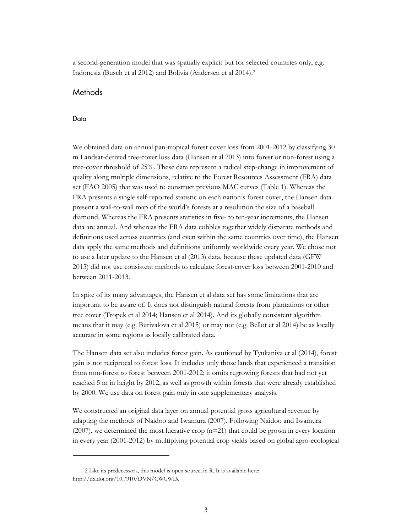a second-generation model that was spatially explicit but for selected countries only, e.g. Indonesia (Busch et al 2012) and Bolivia (Andersen et al 2014).[2](#page-5-2)

#### <span id="page-5-0"></span>Methods

#### <span id="page-5-1"></span>Data

We obtained data on annual pan-tropical forest cover loss from 2001-2012 by classifying 30 m Landsat-derived tree-cover loss data (Hansen et al 2013) into forest or non-forest using a tree-cover threshold of 25%. These data represent a radical step-change in improvement of quality along multiple dimensions, relative to the Forest Resources Assessment (FRA) data set (FAO 2005) that was used to construct previous MAC curves (Table 1). Whereas the FRA presents a single self-reported statistic on each nation's forest cover, the Hansen data present a wall-to-wall map of the world's forests at a resolution the size of a baseball diamond. Whereas the FRA presents statistics in five- to ten-year increments, the Hansen data are annual. And whereas the FRA data cobbles together widely disparate methods and definitions used across countries (and even within the same countries over time), the Hansen data apply the same methods and definitions uniformly worldwide every year. We chose not to use a later update to the Hansen et al (2013) data, because these updated data (GFW 2015) did not use consistent methods to calculate forest-cover loss between 2001-2010 and between 2011-2013.

In spite of its many advantages, the Hansen et al data set has some limitations that are important to be aware of. It does not distinguish natural forests from plantations or other tree cover (Tropek et al 2014; Hansen et al 2014). And its globally consistent algorithm means that it may (e.g. Burivalova et al 2015) or may not (e.g. Bellot et al 2014) be as locally accurate in some regions as locally calibrated data.

The Hansen data set also includes forest gain. As cautioned by Tyukaniva et al (2014), forest gain is not reciprocal to forest loss. It includes only those lands that experienced a transition from non-forest to forest between 2001-2012; it omits regrowing forests that had not yet reached 5 m in height by 2012, as well as growth within forests that were already established by 2000. We use data on forest gain only in one supplementary analysis.

We constructed an original data layer on annual potential gross agricultural revenue by adapting the methods of Naidoo and Iwamura (2007). Following Naidoo and Iwamura (2007), we determined the most lucrative crop  $(n=21)$  that could be grown in every location in every year (2001-2012) by multiplying potential crop yields based on global agro-ecological

<span id="page-5-2"></span><sup>2</sup> Like its predecessors, this model is open source, in R. It is available here: <http://dx.doi.org/10.7910/DVN/CWCWIX>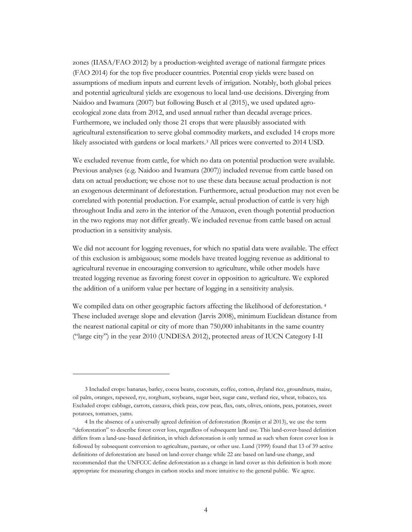zones (IIASA/FAO 2012) by a production-weighted average of national farmgate prices (FAO 2014) for the top five producer countries. Potential crop yields were based on assumptions of medium inputs and current levels of irrigation. Notably, both global prices and potential agricultural yields are exogenous to local land-use decisions. Diverging from Naidoo and Iwamura (2007) but following Busch et al (2015), we used updated agroecological zone data from 2012, and used annual rather than decadal average prices. Furthermore, we included only those 21 crops that were plausibly associated with agricultural extensification to serve global commodity markets, and excluded 14 crops more likely associated with gardens or local markets.[3](#page-6-0) All prices were converted to 2014 USD.

We excluded revenue from cattle, for which no data on potential production were available. Previous analyses (e.g. Naidoo and Iwamura (2007)) included revenue from cattle based on data on actual production; we chose not to use these data because actual production is not an exogenous determinant of deforestation. Furthermore, actual production may not even be correlated with potential production. For example, actual production of cattle is very high throughout India and zero in the interior of the Amazon, even though potential production in the two regions may not differ greatly. We included revenue from cattle based on actual production in a sensitivity analysis.

We did not account for logging revenues, for which no spatial data were available. The effect of this exclusion is ambiguous; some models have treated logging revenue as additional to agricultural revenue in encouraging conversion to agriculture, while other models have treated logging revenue as favoring forest cover in opposition to agriculture. We explored the addition of a uniform value per hectare of logging in a sensitivity analysis.

We compiled data on other geographic factors affecting the likelihood of deforestation.<sup>[4](#page-6-1)</sup> These included average slope and elevation (Jarvis 2008), minimum Euclidean distance from the nearest national capital or city of more than 750,000 inhabitants in the same country ("large city") in the year 2010 (UNDESA 2012), protected areas of IUCN Category I-II

<span id="page-6-0"></span><sup>3</sup> Included crops: bananas, barley, cocoa beans, coconuts, coffee, cotton, dryland rice, groundnuts, maize, oil palm, oranges, rapeseed, rye, sorghum, soybeans, sugar beet, sugar cane, wetland rice, wheat, tobacco, tea. Excluded crops: cabbage, carrots, cassava, chick peas, cow peas, flax, oats, olives, onions, peas, potatoes, sweet potatoes, tomatoes, yams.

<span id="page-6-1"></span><sup>4</sup> In the absence of a universally agreed definition of deforestation (Romijn et al 2013), we use the term "deforestation" to describe forest cover loss, regardless of subsequent land use. This land-cover-based definition differs from a land-use-based definition, in which deforestation is only termed as such when forest cover loss is followed by subsequent conversion to agriculture, pasture, or other use. Lund (1999) found that 13 of 39 active definitions of deforestation are based on land-cover change while 22 are based on land-use change, and recommended that the UNFCCC define deforestation as a change in land cover as this definition is both more appropriate for measuring changes in carbon stocks and more intuitive to the general public. We agree.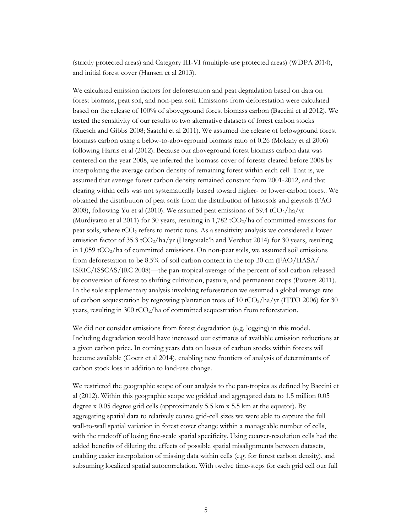(strictly protected areas) and Category III-VI (multiple-use protected areas) (WDPA 2014), and initial forest cover (Hansen et al 2013).

We calculated emission factors for deforestation and peat degradation based on data on forest biomass, peat soil, and non-peat soil. Emissions from deforestation were calculated based on the release of 100% of aboveground forest biomass carbon (Baccini et al 2012). We tested the sensitivity of our results to two alternative datasets of forest carbon stocks (Ruesch and Gibbs 2008; Saatchi et al 2011). We assumed the release of belowground forest biomass carbon using a below-to-aboveground biomass ratio of 0.26 (Mokany et al 2006) following Harris et al (2012). Because our aboveground forest biomass carbon data was centered on the year 2008, we inferred the biomass cover of forests cleared before 2008 by interpolating the average carbon density of remaining forest within each cell. That is, we assumed that average forest carbon density remained constant from 2001-2012, and that clearing within cells was not systematically biased toward higher- or lower-carbon forest. We obtained the distribution of peat soils from the distribution of histosols and gleysols (FAO 2008), following Yu et al (2010). We assumed peat emissions of 59.4 tCO<sub>2</sub>/ha/yr (Murdiyarso et al 2011) for 30 years, resulting in 1,782 tCO<sub>2</sub>/ha of committed emissions for peat soils, where  $tCO<sub>2</sub>$  refers to metric tons. As a sensitivity analysis we considered a lower emission factor of 35.3 tCO<sub>2</sub>/ha/yr (Hergoualc'h and Verchot 2014) for 30 years, resulting in 1,059 tCO<sub>2</sub>/ha of committed emissions. On non-peat soils, we assumed soil emissions from deforestation to be 8.5% of soil carbon content in the top 30 cm (FAO/IIASA/ ISRIC/ISSCAS/JRC 2008)—the pan-tropical average of the percent of soil carbon released by conversion of forest to shifting cultivation, pasture, and permanent crops (Powers 2011). In the sole supplementary analysis involving reforestation we assumed a global average rate of carbon sequestration by regrowing plantation trees of 10 tCO<sub>2</sub>/ha/yr (ITTO 2006) for 30 years, resulting in 300 tCO<sub>2</sub>/ha of committed sequestration from reforestation.

We did not consider emissions from forest degradation (e.g. logging) in this model. Including degradation would have increased our estimates of available emission reductions at a given carbon price. In coming years data on losses of carbon stocks within forests will become available (Goetz et al 2014), enabling new frontiers of analysis of determinants of carbon stock loss in addition to land-use change.

We restricted the geographic scope of our analysis to the pan-tropics as defined by Baccini et al (2012). Within this geographic scope we gridded and aggregated data to 1.5 million 0.05 degree x 0.05 degree grid cells (approximately 5.5 km x 5.5 km at the equator). By aggregating spatial data to relatively coarse grid-cell sizes we were able to capture the full wall-to-wall spatial variation in forest cover change within a manageable number of cells, with the tradeoff of losing fine-scale spatial specificity. Using coarser-resolution cells had the added benefits of diluting the effects of possible spatial misalignments between datasets, enabling easier interpolation of missing data within cells (e.g. for forest carbon density), and subsuming localized spatial autocorrelation. With twelve time-steps for each grid cell our full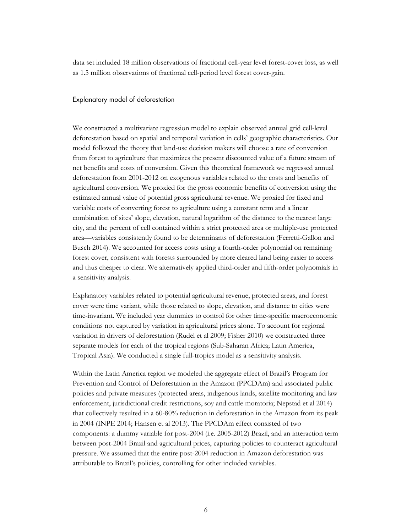data set included 18 million observations of fractional cell-year level forest-cover loss, as well as 1.5 million observations of fractional cell-period level forest cover-gain.

#### <span id="page-8-0"></span>Explanatory model of deforestation

We constructed a multivariate regression model to explain observed annual grid cell-level deforestation based on spatial and temporal variation in cells' geographic characteristics. Our model followed the theory that land-use decision makers will choose a rate of conversion from forest to agriculture that maximizes the present discounted value of a future stream of net benefits and costs of conversion. Given this theoretical framework we regressed annual deforestation from 2001-2012 on exogenous variables related to the costs and benefits of agricultural conversion. We proxied for the gross economic benefits of conversion using the estimated annual value of potential gross agricultural revenue. We proxied for fixed and variable costs of converting forest to agriculture using a constant term and a linear combination of sites' slope, elevation, natural logarithm of the distance to the nearest large city, and the percent of cell contained within a strict protected area or multiple-use protected area—variables consistently found to be determinants of deforestation (Ferretti-Gallon and Busch 2014). We accounted for access costs using a fourth-order polynomial on remaining forest cover, consistent with forests surrounded by more cleared land being easier to access and thus cheaper to clear. We alternatively applied third-order and fifth-order polynomials in a sensitivity analysis.

Explanatory variables related to potential agricultural revenue, protected areas, and forest cover were time variant, while those related to slope, elevation, and distance to cities were time-invariant. We included year dummies to control for other time-specific macroeconomic conditions not captured by variation in agricultural prices alone. To account for regional variation in drivers of deforestation (Rudel et al 2009; Fisher 2010) we constructed three separate models for each of the tropical regions (Sub-Saharan Africa; Latin America, Tropical Asia). We conducted a single full-tropics model as a sensitivity analysis.

Within the Latin America region we modeled the aggregate effect of Brazil's Program for Prevention and Control of Deforestation in the Amazon (PPCDAm) and associated public policies and private measures (protected areas, indigenous lands, satellite monitoring and law enforcement, jurisdictional credit restrictions, soy and cattle moratoria; Nepstad et al 2014) that collectively resulted in a 60-80% reduction in deforestation in the Amazon from its peak in 2004 (INPE 2014; Hansen et al 2013). The PPCDAm effect consisted of two components: a dummy variable for post-2004 (i.e. 2005-2012) Brazil, and an interaction term between post-2004 Brazil and agricultural prices, capturing policies to counteract agricultural pressure. We assumed that the entire post-2004 reduction in Amazon deforestation was attributable to Brazil's policies, controlling for other included variables.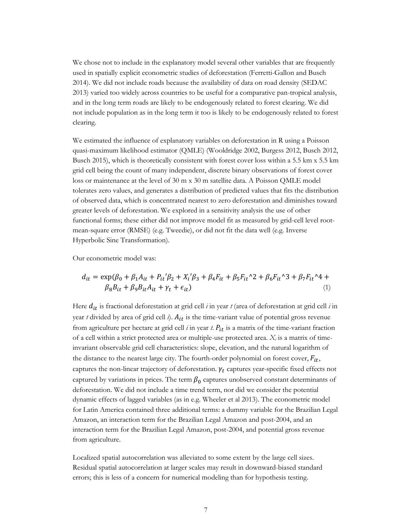We chose not to include in the explanatory model several other variables that are frequently used in spatially explicit econometric studies of deforestation (Ferretti-Gallon and Busch 2014). We did not include roads because the availability of data on road density (SEDAC 2013) varied too widely across countries to be useful for a comparative pan-tropical analysis, and in the long term roads are likely to be endogenously related to forest clearing. We did not include population as in the long term it too is likely to be endogenously related to forest clearing.

We estimated the influence of explanatory variables on deforestation in R using a Poisson quasi-maximum likelihood estimator (QMLE) (Wooldridge 2002, Burgess 2012, Busch 2012, Busch 2015), which is theoretically consistent with forest cover loss within a 5.5 km x 5.5 km grid cell being the count of many independent, discrete binary observations of forest cover loss or maintenance at the level of 30 m x 30 m satellite data. A Poisson QMLE model tolerates zero values, and generates a distribution of predicted values that fits the distribution of observed data, which is concentrated nearest to zero deforestation and diminishes toward greater levels of deforestation. We explored in a sensitivity analysis the use of other functional forms; these either did not improve model fit as measured by grid-cell level rootmean-square error (RMSE) (e.g. Tweedie), or did not fit the data well (e.g. Inverse Hyperbolic Sine Transformation).

Our econometric model was:

$$
d_{it} = \exp(\beta_0 + \beta_1 A_{it} + P_{it}'\beta_2 + X_i'\beta_3 + \beta_4 F_{it} + \beta_5 F_{it}^2 + \beta_6 F_{it}^3 + \beta_7 F_{it}'^4 + \beta_8 B_{it} + \beta_9 B_{it}A_{it} + \gamma_t + \epsilon_{it})
$$
\n(1)

Here  $d_{it}$  is fractional deforestation at grid cell *i* in year *t* (area of deforestation at grid cell *i* in year  $t$  divided by area of grid cell  $i$ ).  $A_{it}$  is the time-variant value of potential gross revenue from agriculture per hectare at grid cell  $i$  in year  $t$ .  $P_{it}$  is a matrix of the time-variant fraction of a cell within a strict protected area or multiple-use protected area. *Xi* is a matrix of timeinvariant observable grid cell characteristics: slope, elevation, and the natural logarithm of the distance to the nearest large city. The fourth-order polynomial on forest cover,  $F_{it}$ , captures the non-linear trajectory of deforestation.  $\gamma_t$  captures year-specific fixed effects not captured by variations in prices. The term  $\beta_0$  captures unobserved constant determinants of deforestation. We did not include a time trend term, nor did we consider the potential dynamic effects of lagged variables (as in e.g. Wheeler et al 2013). The econometric model for Latin America contained three additional terms: a dummy variable for the Brazilian Legal Amazon, an interaction term for the Brazilian Legal Amazon and post-2004, and an interaction term for the Brazilian Legal Amazon, post-2004, and potential gross revenue from agriculture.

Localized spatial autocorrelation was alleviated to some extent by the large cell sizes. Residual spatial autocorrelation at larger scales may result in downward-biased standard errors; this is less of a concern for numerical modeling than for hypothesis testing.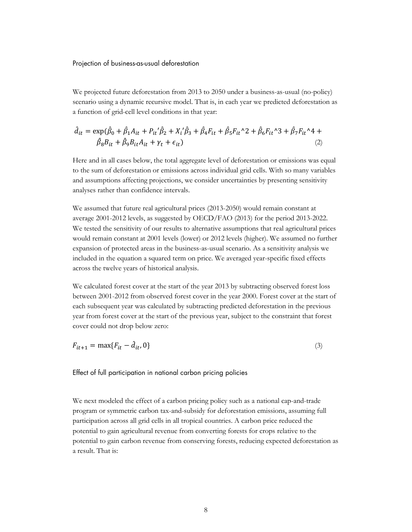<span id="page-10-0"></span>Projection of business-as-usual deforestation

We projected future deforestation from 2013 to 2050 under a business-as-usual (no-policy) scenario using a dynamic recursive model. That is, in each year we predicted deforestation as a function of grid-cell level conditions in that year:

$$
\hat{d}_{it} = \exp(\hat{\beta}_0 + \hat{\beta}_1 A_{it} + P_{it}' \hat{\beta}_2 + X_i' \hat{\beta}_3 + \hat{\beta}_4 F_{it} + \hat{\beta}_5 F_{it}^2 + \hat{\beta}_6 F_{it}^2 + \hat{\beta}_7 F_{it}^2 + 4 + \hat{\beta}_8 B_{it} + \hat{\beta}_9 B_{it} A_{it} + \gamma_t + \epsilon_{it})
$$
\n(2)

Here and in all cases below, the total aggregate level of deforestation or emissions was equal to the sum of deforestation or emissions across individual grid cells. With so many variables and assumptions affecting projections, we consider uncertainties by presenting sensitivity analyses rather than confidence intervals.

We assumed that future real agricultural prices (2013-2050) would remain constant at average 2001-2012 levels, as suggested by OECD/FAO (2013) for the period 2013-2022. We tested the sensitivity of our results to alternative assumptions that real agricultural prices would remain constant at 2001 levels (lower) or 2012 levels (higher). We assumed no further expansion of protected areas in the business-as-usual scenario. As a sensitivity analysis we included in the equation a squared term on price. We averaged year-specific fixed effects across the twelve years of historical analysis.

We calculated forest cover at the start of the year 2013 by subtracting observed forest loss between 2001-2012 from observed forest cover in the year 2000. Forest cover at the start of each subsequent year was calculated by subtracting predicted deforestation in the previous year from forest cover at the start of the previous year, subject to the constraint that forest cover could not drop below zero:

$$
F_{it+1} = \max\{F_{it} - \hat{d}_{it}, 0\} \tag{3}
$$

#### <span id="page-10-1"></span>Effect of full participation in national carbon pricing policies

We next modeled the effect of a carbon pricing policy such as a national cap-and-trade program or symmetric carbon tax-and-subsidy for deforestation emissions, assuming full participation across all grid cells in all tropical countries. A carbon price reduced the potential to gain agricultural revenue from converting forests for crops relative to the potential to gain carbon revenue from conserving forests, reducing expected deforestation as a result. That is: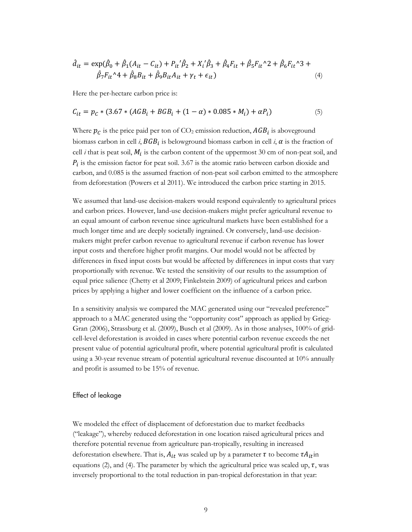$$
\hat{d}_{it} = \exp(\hat{\beta}_0 + \hat{\beta}_1(A_{it} - C_{it}) + P_{it}'\hat{\beta}_2 + X_i'\hat{\beta}_3 + \hat{\beta}_4F_{it} + \hat{\beta}_5F_{it}^2 + \hat{\beta}_6F_{it}^2 + \hat{\beta}_7F_{it}^2 + \hat{\beta}_8F_{it}^2 + \hat{\beta}_8F_{it}^2 + \hat{\beta}_8F_{it}^2 + \hat{\beta}_9B_{it}A_{it} + \gamma_t + \epsilon_{it})
$$
\n(4)

Here the per-hectare carbon price is:

$$
C_{it} = p_c * (3.67 * (AGB_i + BGB_i + (1 - \alpha) * 0.085 * M_i) + \alpha P_i)
$$
\n(5)

Where  $p_c$  is the price paid per ton of CO<sub>2</sub> emission reduction,  $AGB_i$  is aboveground biomass carbon in cell *i*,  $BGB_i$  is belowground biomass carbon in cell *i*,  $\alpha$  is the fraction of cell *i* that is peat soil,  $M_i$  is the carbon content of the uppermost 30 cm of non-peat soil, and  $P_i$  is the emission factor for peat soil. 3.67 is the atomic ratio between carbon dioxide and carbon, and 0.085 is the assumed fraction of non-peat soil carbon emitted to the atmosphere from deforestation (Powers et al 2011). We introduced the carbon price starting in 2015.

We assumed that land-use decision-makers would respond equivalently to agricultural prices and carbon prices. However, land-use decision-makers might prefer agricultural revenue to an equal amount of carbon revenue since agricultural markets have been established for a much longer time and are deeply societally ingrained. Or conversely, land-use decisionmakers might prefer carbon revenue to agricultural revenue if carbon revenue has lower input costs and therefore higher profit margins. Our model would not be affected by differences in fixed input costs but would be affected by differences in input costs that vary proportionally with revenue. We tested the sensitivity of our results to the assumption of equal price salience (Chetty et al 2009; Finkelstein 2009) of agricultural prices and carbon prices by applying a higher and lower coefficient on the influence of a carbon price.

In a sensitivity analysis we compared the MAC generated using our "revealed preference" approach to a MAC generated using the "opportunity cost" approach as applied by Grieg-Gran (2006), Strassburg et al. (2009), Busch et al (2009). As in those analyses, 100% of gridcell-level deforestation is avoided in cases where potential carbon revenue exceeds the net present value of potential agricultural profit, where potential agricultural profit is calculated using a 30-year revenue stream of potential agricultural revenue discounted at 10% annually and profit is assumed to be 15% of revenue.

#### <span id="page-11-0"></span>Effect of leakage

We modeled the effect of displacement of deforestation due to market feedbacks ("leakage"), whereby reduced deforestation in one location raised agricultural prices and therefore potential revenue from agriculture pan-tropically, resulting in increased deforestation elsewhere. That is,  $A_{it}$  was scaled up by a parameter  $\tau$  to become  $\tau A_{it}$  in equations (2), and (4). The parameter by which the agricultural price was scaled up,  $\tau$ , was inversely proportional to the total reduction in pan-tropical deforestation in that year: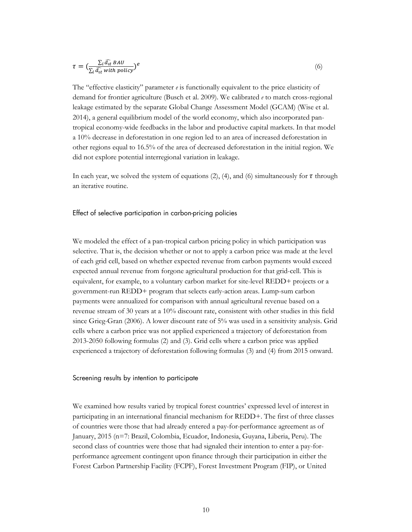$$
\tau = \left(\frac{\sum_{i} \widehat{d}_{it} BAU}{\sum_{i} \widehat{d}_{it} \text{ with policy}}\right)^{e}
$$
\n<sup>(6)</sup>

The "effective elasticity" parameter *e* is functionally equivalent to the price elasticity of demand for frontier agriculture (Busch et al. 2009). We calibrated *e* to match cross-regional leakage estimated by the separate Global Change Assessment Model (GCAM) (Wise et al. 2014), a general equilibrium model of the world economy, which also incorporated pantropical economy-wide feedbacks in the labor and productive capital markets. In that model a 10% decrease in deforestation in one region led to an area of increased deforestation in other regions equal to 16.5% of the area of decreased deforestation in the initial region. We did not explore potential interregional variation in leakage.

In each year, we solved the system of equations (2), (4), and (6) simultaneously for  $\tau$  through an iterative routine.

#### <span id="page-12-0"></span>Effect of selective participation in carbon-pricing policies

We modeled the effect of a pan-tropical carbon pricing policy in which participation was selective. That is, the decision whether or not to apply a carbon price was made at the level of each grid cell, based on whether expected revenue from carbon payments would exceed expected annual revenue from forgone agricultural production for that grid-cell. This is equivalent, for example, to a voluntary carbon market for site-level REDD+ projects or a government-run REDD+ program that selects early-action areas. Lump-sum carbon payments were annualized for comparison with annual agricultural revenue based on a revenue stream of 30 years at a 10% discount rate, consistent with other studies in this field since Grieg-Gran (2006). A lower discount rate of 5% was used in a sensitivity analysis. Grid cells where a carbon price was not applied experienced a trajectory of deforestation from 2013-2050 following formulas (2) and (3). Grid cells where a carbon price was applied experienced a trajectory of deforestation following formulas (3) and (4) from 2015 onward.

#### <span id="page-12-1"></span>Screening results by intention to participate

We examined how results varied by tropical forest countries' expressed level of interest in participating in an international financial mechanism for REDD+. The first of three classes of countries were those that had already entered a pay-for-performance agreement as of January, 2015 (n=7: Brazil, Colombia, Ecuador, Indonesia, Guyana, Liberia, Peru). The second class of countries were those that had signaled their intention to enter a pay-forperformance agreement contingent upon finance through their participation in either the Forest Carbon Partnership Facility (FCPF), Forest Investment Program (FIP), or United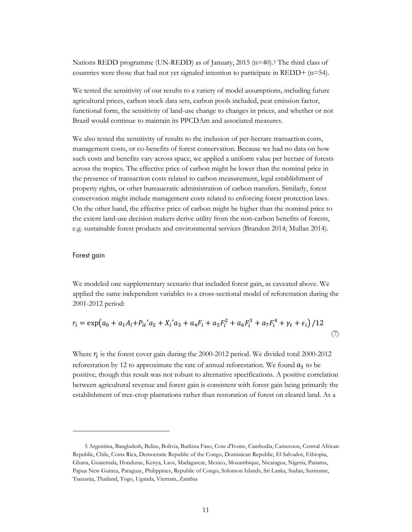Nations REDD programme (UN-REDD) as of January, 201[5](#page-13-1) (n=40).<sup>5</sup> The third class of countries were those that had not yet signaled intention to participate in  $REDD+$  (n=54).

We tested the sensitivity of our results to a variety of model assumptions, including future agricultural prices, carbon stock data sets, carbon pools included, peat emission factor, functional form, the sensitivity of land-use change to changes in prices, and whether or not Brazil would continue to maintain its PPCDAm and associated measures.

We also tested the sensitivity of results to the inclusion of per-hectare transaction costs, management costs, or co-benefits of forest conservation. Because we had no data on how such costs and benefits vary across space, we applied a uniform value per hectare of forests across the tropics. The effective price of carbon might be lower than the nominal price in the presence of transaction costs related to carbon measurement, legal establishment of property rights, or other bureaucratic administration of carbon transfers. Similarly, forest conservation might include management costs related to enforcing forest protection laws. On the other hand, the effective price of carbon might be higher than the nominal price to the extent land-use decision makers derive utility from the non-carbon benefits of forests, e.g. sustainable forest products and environmental services (Brandon 2014; Mullan 2014).

#### <span id="page-13-0"></span>Forest gain

 $\overline{a}$ 

We modeled one supplementary scenario that included forest gain, as caveated above. We applied the same independent variables to a cross-sectional model of reforestation during the 2001-2012 period:

$$
r_i = \exp\left(a_0 + a_1 A_i + P_{it} a_2 + X_i a_3 + a_4 F_i + a_5 F_i^2 + a_6 F_i^3 + a_7 F_i^4 + \gamma_t + \epsilon_i\right) / 12
$$
\n(7)

Where  $r_i$  is the forest cover gain during the 2000-2012 period. We divided total 2000-2012 reforestation by 12 to approximate the rate of annual reforestation. We found  $a_1$  to be positive, though this result was not robust to alternative specifications. A positive correlation between agricultural revenue and forest gain is consistent with forest gain being primarily the establishment of tree-crop plantations rather than restoration of forest on cleared land. As a

<span id="page-13-1"></span><sup>5</sup> Argentina, Bangladesh, Belize, Bolivia, Burkina Faso, Cote d'Ivoire, Cambodia, Cameroon, Central African Republic, Chile, Costa Rica, Democratic Republic of the Congo, Dominican Republic, El Salvador, Ethiopia, Ghana, Guatemala, Honduras, Kenya, Laos, Madagascar, Mexico, Mozambique, Nicaragua, Nigeria, Panama, Papua New Guinea, Paraguay, Philippines, Republic of Congo, Solomon Islands, Sri Lanka, Sudan, Suriname, Tanzania, Thailand, Togo, Uganda, Vietnam, Zambia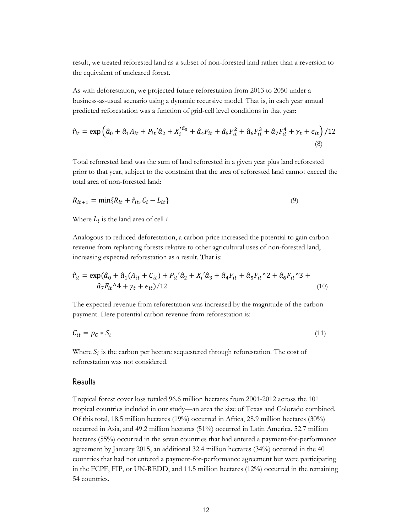result, we treated reforested land as a subset of non-forested land rather than a reversion to the equivalent of uncleared forest.

As with deforestation, we projected future reforestation from 2013 to 2050 under a business-as-usual scenario using a dynamic recursive model. That is, in each year annual predicted reforestation was a function of grid-cell level conditions in that year:

$$
\hat{r}_{it} = \exp\left(\hat{a}_0 + \hat{a}_1 A_{it} + P_{it}' \hat{a}_2 + X_i'^{\hat{a}_3} + \hat{a}_4 F_{it} + \hat{a}_5 F_{it}^2 + \hat{a}_6 F_{it}^3 + \hat{a}_7 F_{it}^4 + \gamma_t + \epsilon_{it}\right) / 12
$$
\n(8)

Total reforested land was the sum of land reforested in a given year plus land reforested prior to that year, subject to the constraint that the area of reforested land cannot exceed the total area of non-forested land:

$$
R_{it+1} = \min\{R_{it} + \hat{r}_{it}, C_i - L_{it}\}\tag{9}
$$

Where  $L_i$  is the land area of cell *i*.

Analogous to reduced deforestation, a carbon price increased the potential to gain carbon revenue from replanting forests relative to other agricultural uses of non-forested land, increasing expected reforestation as a result. That is:

$$
\hat{r}_{it} = \exp(\hat{a}_0 + \hat{a}_1(A_{it} + C_{it}) + P_{it}\hat{a}_2 + X_i\hat{a}_3 + \hat{a}_4F_{it} + \hat{a}_5F_{it}^2 + \hat{a}_6F_{it}^3 + \hat{a}_7F_{it}^4 + \gamma_t + \epsilon_{it})/12}
$$
\n(10)

The expected revenue from reforestation was increased by the magnitude of the carbon payment. Here potential carbon revenue from reforestation is:

$$
C_{it} = p_c * S_i \tag{11}
$$

Where  $S_i$  is the carbon per hectare sequestered through reforestation. The cost of reforestation was not considered.

#### <span id="page-14-0"></span>Results

Tropical forest cover loss totaled 96.6 million hectares from 2001-2012 across the 101 tropical countries included in our study—an area the size of Texas and Colorado combined. Of this total, 18.5 million hectares (19%) occurred in Africa, 28.9 million hectares (30%) occurred in Asia, and 49.2 million hectares (51%) occurred in Latin America. 52.7 million hectares (55%) occurred in the seven countries that had entered a payment-for-performance agreement by January 2015, an additional 32.4 million hectares (34%) occurred in the 40 countries that had not entered a payment-for-performance agreement but were participating in the FCPF, FIP, or UN-REDD, and 11.5 million hectares (12%) occurred in the remaining 54 countries.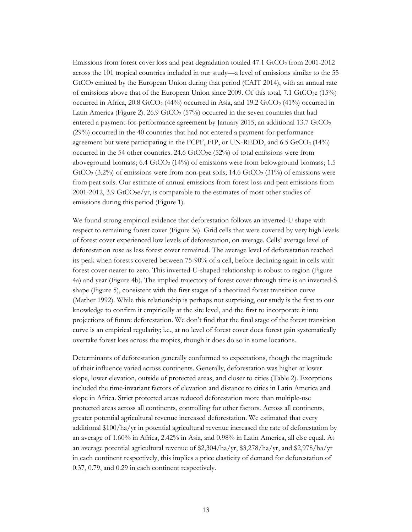Emissions from forest cover loss and peat degradation totaled  $47.1$  GtCO<sub>2</sub> from 2001-2012 across the 101 tropical countries included in our study—a level of emissions similar to the 55 GtCO<sub>2</sub> emitted by the European Union during that period (CAIT 2014), with an annual rate of emissions above that of the European Union since 2009. Of this total, 7.1 GtCO<sub>2</sub>e (15%) occurred in Africa,  $20.8$  GtCO<sub>2</sub> (44%) occurred in Asia, and  $19.2$  GtCO<sub>2</sub> (41%) occurred in Latin America (Figure 2). 26.9 GtCO<sub>2</sub> (57%) occurred in the seven countries that had entered a payment-for-performance agreement by January 2015, an additional 13.7  $\text{GtCO}_2$ (29%) occurred in the 40 countries that had not entered a payment-for-performance agreement but were participating in the FCPF, FIP, or UN-REDD, and  $6.5$  GtCO<sub>2</sub> (14%) occurred in the 54 other countries. 24.6 GtCO<sub>2</sub>e (52%) of total emissions were from aboveground biomass;  $6.4 \text{ GtCO}_2$  (14%) of emissions were from belowground biomass; 1.5 GtCO<sub>2</sub> (3.2%) of emissions were from non-peat soils; 14.6 GtCO<sub>2</sub> (31%) of emissions were from peat soils. Our estimate of annual emissions from forest loss and peat emissions from 2001-2012, 3.9 GtCO<sub>2</sub>e/yr, is comparable to the estimates of most other studies of emissions during this period (Figure 1).

We found strong empirical evidence that deforestation follows an inverted-U shape with respect to remaining forest cover (Figure 3a). Grid cells that were covered by very high levels of forest cover experienced low levels of deforestation, on average. Cells' average level of deforestation rose as less forest cover remained. The average level of deforestation reached its peak when forests covered between 75-90% of a cell, before declining again in cells with forest cover nearer to zero. This inverted-U-shaped relationship is robust to region (Figure 4a) and year (Figure 4b). The implied trajectory of forest cover through time is an inverted-S shape (Figure 5), consistent with the first stages of a theorized forest transition curve (Mather 1992). While this relationship is perhaps not surprising, our study is the first to our knowledge to confirm it empirically at the site level, and the first to incorporate it into projections of future deforestation. We don't find that the final stage of the forest transition curve is an empirical regularity; i.e., at no level of forest cover does forest gain systematically overtake forest loss across the tropics, though it does do so in some locations.

Determinants of deforestation generally conformed to expectations, though the magnitude of their influence varied across continents. Generally, deforestation was higher at lower slope, lower elevation, outside of protected areas, and closer to cities (Table 2). Exceptions included the time-invariant factors of elevation and distance to cities in Latin America and slope in Africa. Strict protected areas reduced deforestation more than multiple-use protected areas across all continents, controlling for other factors. Across all continents, greater potential agricultural revenue increased deforestation. We estimated that every additional \$100/ha/yr in potential agricultural revenue increased the rate of deforestation by an average of 1.60% in Africa, 2.42% in Asia, and 0.98% in Latin America, all else equal. At an average potential agricultural revenue of \$2,304/ha/yr, \$3,278/ha/yr, and \$2,978/ha/yr in each continent respectively, this implies a price elasticity of demand for deforestation of 0.37, 0.79, and 0.29 in each continent respectively.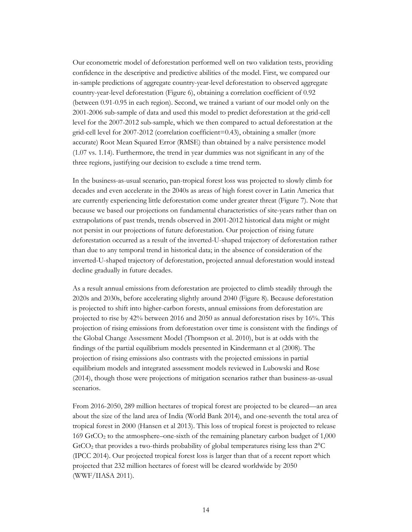Our econometric model of deforestation performed well on two validation tests, providing confidence in the descriptive and predictive abilities of the model. First, we compared our in-sample predictions of aggregate country-year-level deforestation to observed aggregate country-year-level deforestation (Figure 6), obtaining a correlation coefficient of 0.92 (between 0.91-0.95 in each region). Second, we trained a variant of our model only on the 2001-2006 sub-sample of data and used this model to predict deforestation at the grid-cell level for the 2007-2012 sub-sample, which we then compared to actual deforestation at the grid-cell level for 2007-2012 (correlation coefficient=0.43), obtaining a smaller (more accurate) Root Mean Squared Error (RMSE) than obtained by a naïve persistence model (1.07 vs. 1.14). Furthermore, the trend in year dummies was not significant in any of the three regions, justifying our decision to exclude a time trend term.

In the business-as-usual scenario, pan-tropical forest loss was projected to slowly climb for decades and even accelerate in the 2040s as areas of high forest cover in Latin America that are currently experiencing little deforestation come under greater threat (Figure 7). Note that because we based our projections on fundamental characteristics of site-years rather than on extrapolations of past trends, trends observed in 2001-2012 historical data might or might not persist in our projections of future deforestation. Our projection of rising future deforestation occurred as a result of the inverted-U-shaped trajectory of deforestation rather than due to any temporal trend in historical data; in the absence of consideration of the inverted-U-shaped trajectory of deforestation, projected annual deforestation would instead decline gradually in future decades.

As a result annual emissions from deforestation are projected to climb steadily through the 2020s and 2030s, before accelerating slightly around 2040 (Figure 8). Because deforestation is projected to shift into higher-carbon forests, annual emissions from deforestation are projected to rise by 42% between 2016 and 2050 as annual deforestation rises by 16%. This projection of rising emissions from deforestation over time is consistent with the findings of the Global Change Assessment Model (Thompson et al. 2010), but is at odds with the findings of the partial equilibrium models presented in Kindermann et al (2008). The projection of rising emissions also contrasts with the projected emissions in partial equilibrium models and integrated assessment models reviewed in Lubowski and Rose (2014), though those were projections of mitigation scenarios rather than business-as-usual scenarios.

From 2016-2050, 289 million hectares of tropical forest are projected to be cleared—an area about the size of the land area of India (World Bank 2014), and one-seventh the total area of tropical forest in 2000 (Hansen et al 2013). This loss of tropical forest is projected to release 169 GtCO2 to the atmosphere–one-sixth of the remaining planetary carbon budget of 1,000 GtCO2 that provides a two-thirds probability of global temperatures rising less than 2°C (IPCC 2014). Our projected tropical forest loss is larger than that of a recent report which projected that 232 million hectares of forest will be cleared worldwide by 2050 (WWF/IIASA 2011).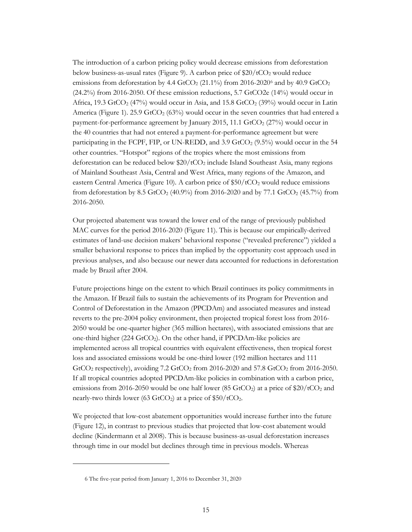The introduction of a carbon pricing policy would decrease emissions from deforestation below business-as-usual rates (Figure 9). A carbon price of  $20/tCO<sub>2</sub>$  would reduce emissions from deforestation by 4.4 GtCO<sub>2</sub> (21.1%) from 201[6](#page-17-0)-2020<sup>6</sup> and by 40.9 GtCO<sub>2</sub> (24.2%) from 2016-2050. Of these emission reductions, 5.7 GtCO2e (14%) would occur in Africa, 19.3 GtCO<sub>2</sub> (47%) would occur in Asia, and 15.8 GtCO<sub>2</sub> (39%) would occur in Latin America (Figure 1). 25.9 GtCO<sub>2</sub> (63%) would occur in the seven countries that had entered a payment-for-performance agreement by January 2015, 11.1 GtCO<sub>2</sub> ( $27\%$ ) would occur in the 40 countries that had not entered a payment-for-performance agreement but were participating in the FCPF, FIP, or UN-REDD, and 3.9 GtCO<sub>2</sub> (9.5%) would occur in the 54 other countries. "Hotspot" regions of the tropics where the most emissions from deforestation can be reduced below  $20/tCO<sub>2</sub>$  include Island Southeast Asia, many regions of Mainland Southeast Asia, Central and West Africa, many regions of the Amazon, and eastern Central America (Figure 10). A carbon price of  $$50/tCO<sub>2</sub>$  would reduce emissions from deforestation by 8.5 GtCO<sub>2</sub> (40.9%) from 2016-2020 and by 77.1 GtCO<sub>2</sub> (45.7%) from 2016-2050.

Our projected abatement was toward the lower end of the range of previously published MAC curves for the period 2016-2020 (Figure 11). This is because our empirically-derived estimates of land-use decision makers' behavioral response ("revealed preference") yielded a smaller behavioral response to prices than implied by the opportunity cost approach used in previous analyses, and also because our newer data accounted for reductions in deforestation made by Brazil after 2004.

Future projections hinge on the extent to which Brazil continues its policy commitments in the Amazon. If Brazil fails to sustain the achievements of its Program for Prevention and Control of Deforestation in the Amazon (PPCDAm) and associated measures and instead reverts to the pre-2004 policy environment, then projected tropical forest loss from 2016- 2050 would be one-quarter higher (365 million hectares), with associated emissions that are one-third higher (224 GtCO<sub>2</sub>). On the other hand, if PPCDAm-like policies are implemented across all tropical countries with equivalent effectiveness, then tropical forest loss and associated emissions would be one-third lower (192 million hectares and 111  $GtCO<sub>2</sub>$  respectively), avoiding 7.2  $GtCO<sub>2</sub>$  from 2016-2020 and 57.8  $GtCO<sub>2</sub>$  from 2016-2050. If all tropical countries adopted PPCDAm-like policies in combination with a carbon price, emissions from 2016-2050 would be one half lower (85 GtCO<sub>2</sub>) at a price of \$20/tCO<sub>2</sub> and nearly-two thirds lower (63 GtCO<sub>2</sub>) at a price of  $$50/tCO<sub>2</sub>$ .

We projected that low-cost abatement opportunities would increase further into the future (Figure 12), in contrast to previous studies that projected that low-cost abatement would decline (Kindermann et al 2008). This is because business-as-usual deforestation increases through time in our model but declines through time in previous models. Whereas

<span id="page-17-0"></span> $\overline{a}$ 

<sup>6</sup> The five-year period from January 1, 2016 to December 31, 2020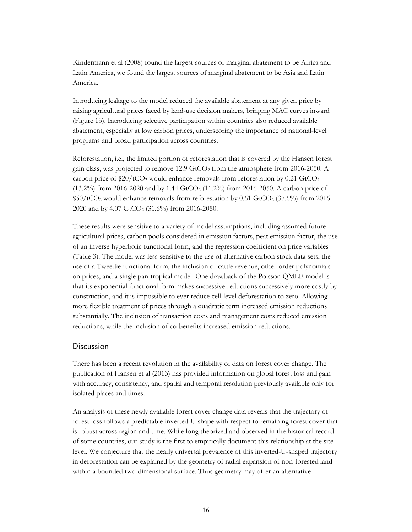Kindermann et al (2008) found the largest sources of marginal abatement to be Africa and Latin America, we found the largest sources of marginal abatement to be Asia and Latin America.

Introducing leakage to the model reduced the available abatement at any given price by raising agricultural prices faced by land-use decision makers, bringing MAC curves inward (Figure 13). Introducing selective participation within countries also reduced available abatement, especially at low carbon prices, underscoring the importance of national-level programs and broad participation across countries.

Reforestation, i.e., the limited portion of reforestation that is covered by the Hansen forest gain class, was projected to remove  $12.9$  GtCO<sub>2</sub> from the atmosphere from  $2016$ - $2050$ . A carbon price of  $$20/tCO<sub>2</sub>$  would enhance removals from reforestation by 0.21 GtCO<sub>2</sub> (13.2%) from 2016-2020 and by 1.44 GtCO<sub>2</sub> (11.2%) from 2016-2050. A carbon price of  $$50/tCO<sub>2</sub>$  would enhance removals from reforestation by 0.61 GtCO<sub>2</sub> (37.6%) from 2016-2020 and by 4.07 GtCO<sub>2</sub> (31.6%) from 2016-2050.

These results were sensitive to a variety of model assumptions, including assumed future agricultural prices, carbon pools considered in emission factors, peat emission factor, the use of an inverse hyperbolic functional form, and the regression coefficient on price variables (Table 3). The model was less sensitive to the use of alternative carbon stock data sets, the use of a Tweedie functional form, the inclusion of cattle revenue, other-order polynomials on prices, and a single pan-tropical model. One drawback of the Poisson QMLE model is that its exponential functional form makes successive reductions successively more costly by construction, and it is impossible to ever reduce cell-level deforestation to zero. Allowing more flexible treatment of prices through a quadratic term increased emission reductions substantially. The inclusion of transaction costs and management costs reduced emission reductions, while the inclusion of co-benefits increased emission reductions.

#### <span id="page-18-0"></span>Discussion

There has been a recent revolution in the availability of data on forest cover change. The publication of Hansen et al (2013) has provided information on global forest loss and gain with accuracy, consistency, and spatial and temporal resolution previously available only for isolated places and times.

An analysis of these newly available forest cover change data reveals that the trajectory of forest loss follows a predictable inverted-U shape with respect to remaining forest cover that is robust across region and time. While long theorized and observed in the historical record of some countries, our study is the first to empirically document this relationship at the site level. We conjecture that the nearly universal prevalence of this inverted-U-shaped trajectory in deforestation can be explained by the geometry of radial expansion of non-forested land within a bounded two-dimensional surface. Thus geometry may offer an alternative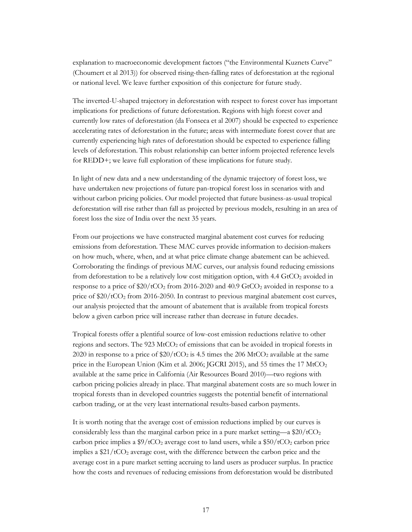explanation to macroeconomic development factors ("the Environmental Kuznets Curve" (Choumert et al 2013)) for observed rising-then-falling rates of deforestation at the regional or national level. We leave further exposition of this conjecture for future study.

The inverted-U-shaped trajectory in deforestation with respect to forest cover has important implications for predictions of future deforestation. Regions with high forest cover and currently low rates of deforestation (da Fonseca et al 2007) should be expected to experience accelerating rates of deforestation in the future; areas with intermediate forest cover that are currently experiencing high rates of deforestation should be expected to experience falling levels of deforestation. This robust relationship can better inform projected reference levels for REDD+; we leave full exploration of these implications for future study.

In light of new data and a new understanding of the dynamic trajectory of forest loss, we have undertaken new projections of future pan-tropical forest loss in scenarios with and without carbon pricing policies. Our model projected that future business-as-usual tropical deforestation will rise rather than fall as projected by previous models, resulting in an area of forest loss the size of India over the next 35 years.

From our projections we have constructed marginal abatement cost curves for reducing emissions from deforestation*.* These MAC curves provide information to decision-makers on how much, where, when, and at what price climate change abatement can be achieved. Corroborating the findings of previous MAC curves, our analysis found reducing emissions from deforestation to be a relatively low cost mitigation option, with 4.4 GtCO<sub>2</sub> avoided in response to a price of  $$20/tCO<sub>2</sub>$  from 2016-2020 and 40.9 GtCO<sub>2</sub> avoided in response to a price of  $$20/tCO<sub>2</sub>$  from 2016-2050. In contrast to previous marginal abatement cost curves, our analysis projected that the amount of abatement that is available from tropical forests below a given carbon price will increase rather than decrease in future decades.

Tropical forests offer a plentiful source of low-cost emission reductions relative to other regions and sectors. The 923 MtCO2 of emissions that can be avoided in tropical forests in 2020 in response to a price of  $$20/tCO<sub>2</sub>$  is 4.5 times the 206 MtCO<sub>2</sub> available at the same price in the European Union (Kim et al. 2006; JGCRI 2015), and 55 times the 17  $\text{MtCO}_2$ available at the same price in California (Air Resources Board 2010)—two regions with carbon pricing policies already in place. That marginal abatement costs are so much lower in tropical forests than in developed countries suggests the potential benefit of international carbon trading, or at the very least international results-based carbon payments.

It is worth noting that the average cost of emission reductions implied by our curves is considerably less than the marginal carbon price in a pure market setting—a  $$20/tCO<sub>2</sub>$ carbon price implies a  $\frac{9}{tCO_2}$  average cost to land users, while a  $\frac{50}{tCO_2}$  carbon price implies a  $$21/tCO<sub>2</sub>$  average cost, with the difference between the carbon price and the average cost in a pure market setting accruing to land users as producer surplus. In practice how the costs and revenues of reducing emissions from deforestation would be distributed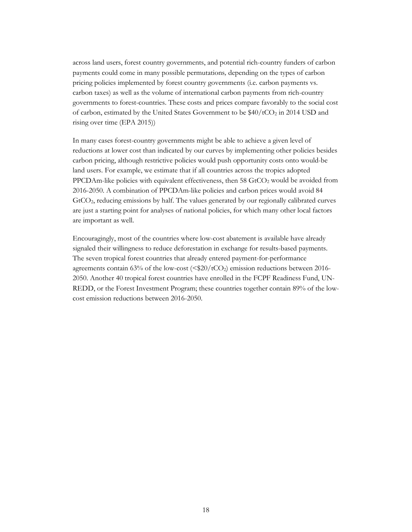across land users, forest country governments, and potential rich-country funders of carbon payments could come in many possible permutations*,* depending on the types of carbon pricing policies implemented by forest country governments (i.e. carbon payments vs. carbon taxes) as well as the volume of international carbon payments from rich-country governments to forest-countries. These costs and prices compare favorably to the social cost of carbon, estimated by the United States Government to be  $$40/tCO<sub>2</sub>$  in 2014 USD and rising over time (EPA 2015))

In many cases forest-country governments might be able to achieve a given level of reductions at lower cost than indicated by our curves by implementing other policies besides carbon pricing, although restrictive policies would push opportunity costs onto would-be land users. For example, we estimate that if all countries across the tropics adopted PPCDAm-like policies with equivalent effectiveness, then 58 GtCO<sub>2</sub> would be avoided from 2016-2050. A combination of PPCDAm-like policies and carbon prices would avoid 84 GtCO2, reducing emissions by half. The values generated by our regionally calibrated curves are just a starting point for analyses of national policies, for which many other local factors are important as well.

Encouragingly, most of the countries where low-cost abatement is available have already signaled their willingness to reduce deforestation in exchange for results-based payments. The seven tropical forest countries that already entered payment-for-performance agreements contain 63% of the low-cost ( $\langle $20/tCO_2 \rangle$  emission reductions between 2016-2050. Another 40 tropical forest countries have enrolled in the FCPF Readiness Fund, UN-REDD, or the Forest Investment Program; these countries together contain 89% of the lowcost emission reductions between 2016-2050.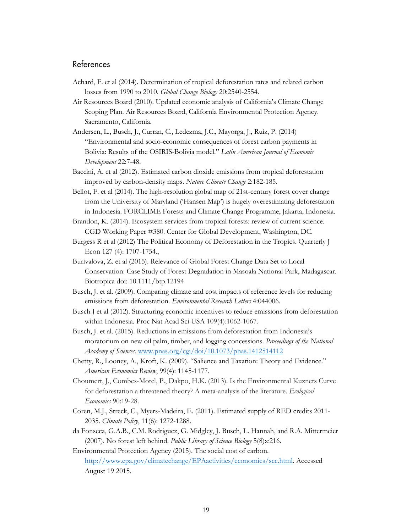#### <span id="page-21-0"></span>References

- Achard, F. et al (2014). Determination of tropical deforestation rates and related carbon losses from 1990 to 2010. *Global Change Biology* 20:2540-2554.
- Air Resources Board (2010). Updated economic analysis of California's Climate Change Scoping Plan. Air Resources Board, California Environmental Protection Agency. Sacramento, California.
- Andersen, L., Busch, J., Curran, C., Ledezma, J.C., Mayorga, J., Ruiz, P. (2014) "Environmental and socio-economic consequences of forest carbon payments in Bolivia: Results of the OSIRIS-Bolivia model." *Latin American Journal of Economic Development* 22:7-48.
- Baccini, A. et al (2012). Estimated carbon dioxide emissions from tropical deforestation improved by carbon-density maps. *Nature Climate Change* 2:182-185.
- Bellot, F. et al (2014). The high-resolution global map of 21st-century forest cover change from the University of Maryland ('Hansen Map') is hugely overestimating deforestation in Indonesia. FORCLIME Forests and Climate Change Programme, Jakarta, Indonesia.
- Brandon, K. (2014). Ecosystem services from tropical forests: review of current science. CGD Working Paper #380. Center for Global Development, Washington, DC.
- [Burgess](http://qje.oxfordjournals.org/search?author1=Robin+Burgess&sortspec=date&submit=Submit) R et al (2012) The Political Economy of Deforestation in the Tropics. Quarterly J Econ 127 (4): 1707-1754.,
- Burivalova, Z. et al (2015). Relevance of Global Forest Change Data Set to Local Conservation: Case Study of Forest Degradation in Masoala National Park, Madagascar. Biotropica doi: 10.1111/btp.12194
- Busch, J. et al. (2009). Comparing climate and cost impacts of reference levels for reducing emissions from deforestation. *Environmental Research Letters* 4:044006.
- Busch J et al (2012). Structuring economic incentives to reduce emissions from deforestation within Indonesia. Proc Nat Acad Sci USA 109(4):1062-1067.
- Busch, J. et al. (2015). Reductions in emissions from deforestation from Indonesia's moratorium on new oil palm, timber, and logging concessions. *Proceedings of the National Academy of Sciences.* [www.pnas.org/cgi/doi/10.1073/pnas.1412514112](http://www.pnas.org/cgi/doi/10.1073/pnas.1412514112)
- Chetty, R., Looney, A., Kroft, K. (2009). "Salience and Taxation: Theory and Evidence." *American Economics Review*, 99(4): 1145-1177.
- Choumert, J., Combes-Motel, P., Dakpo, H.K. (2013). Is the Environmental Kuznets Curve for deforestation a threatened theory? A meta-analysis of the literature. *Ecological Economics* 90:19-28.
- Coren, M.J., Streck, C., Myers-Madeira, E. (2011). Estimated supply of RED credits 2011- 2035. *Climate Policy*, 11(6): 1272-1288.
- da Fonseca, G.A.B., C.M. Rodriguez, G. Midgley, J. Busch, L. Hannah, and R.A. Mittermeier (2007). No forest left behind. *Public Library of Science Biology* 5(8):e216.
- Environmental Protection Agency (2015). The social cost of carbon. [http://www.epa.gov/climatechange/EPAactivities/economics/scc.html.](http://www.epa.gov/climatechange/EPAactivities/economics/scc.html) Accessed August 19 2015.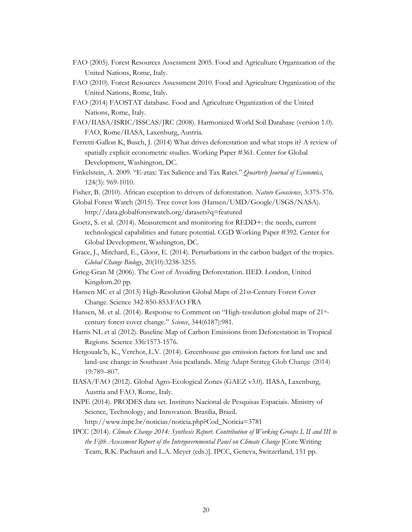- FAO (2005). Forest Resources Assessment 2005. Food and Agriculture Organization of the United Nations, Rome, Italy.
- FAO (2010). Forest Resources Assessment 2010. Food and Agriculture Organization of the United Nations, Rome, Italy.
- FAO (2014) FAOSTAT database. Food and Agriculture Organization of the United Nations, Rome, Italy.
- FAO/IIASA/ISRIC/ISSCAS/JRC (2008). Harmonized World Soil Database (version 1.0). FAO, Rome/IIASA, Laxenburg, Austria.
- Ferretti-Gallon K, Busch, J. (2014) What drives deforestation and what stops it? A review of spatially explicit econometric studies. Working Paper #361. Center for Global Development, Washington, DC.
- Finkelstein, A. 2009. "E-ztax: Tax Salience and Tax Rates." *Quarterly Journal of Economics*, 124(3): 969-1010.
- Fisher, B. (2010). African exception to drivers of deforestation. *Nature Geoscience*, 3:375-376.
- Global Forest Watch (2015). Tree cover loss (Hansen/UMD/Google/USGS/NASA). http://data.globalforestwatch.org/datasets?q=featured
- Goetz, S. et al. (2014). Measurement and monitoring for REDD+: the needs, current technological capabilities and future potential. CGD Working Paper #392. Center for Global Development, Washington, DC.
- Grace, J., Mitchard, E., Gloor, E. (2014). Perturbations in the carbon budget of the tropics. *Global Change Biology*, 20(10):3238-3255.
- Grieg-Gran M (2006). The Cost of Avoiding Deforestation. IIED. London, United Kingdom.20 pp.
- Hansen MC et al (2013) High-Resolution Global Maps of 21st-Century Forest Cover Change. Science 342-850-853.FAO FRA
- Hansen, M. et al. (2014). Response to Comment on "High-resolution global maps of 21stcentury forest cover change." *Science*, 344(6187):981.
- Harris NL et al (2012). Baseline Map of Carbon Emissions from Deforestation in Tropical Regions. Science 336:1573-1576.
- Hergoualc'h, K., Verchot, L.V. (2014). Greenhouse gas emission factors for land use and land-use change in Southeast Asia peatlands. Mitig Adapt Strateg Glob Change (2014) 19:789–807.
- IIASA/FAO (2012). Global Agro-Ecological Zones (GAEZ v3.0). IIASA, Laxenburg, Austria and FAO, Rome, Italy.
- INPE (2014). PRODES data set. Instituto Nacional de Pesquisas Espaciais. Ministry of Science, Technology, and Innovation. Brasilia, Brazil.
	- http://www.inpe.br/noticias/noticia.php?Cod\_Noticia=3781
- IPCC (2014). *Climate Change 2014: Synthesis Report*. *Contribution of Working Groups I, II and III to the Fifth Assessment Report of the Intergovernmental Panel on Climate Change* [Core Writing Team, R.K. Pachauri and L.A. Meyer (eds.)]. IPCC, Geneva, Switzerland, 151 pp.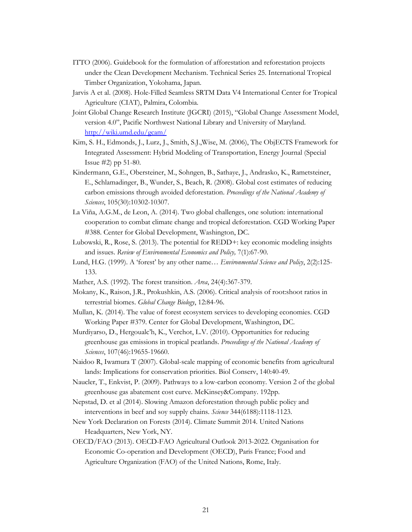- ITTO (2006). Guidebook for the formulation of afforestation and reforestation projects under the Clean Development Mechanism. Technical Series 25. International Tropical Timber Organization, Yokohama, Japan.
- Jarvis A et al. (2008). Hole-Filled Seamless SRTM Data V4 International Center for Tropical Agriculture (CIAT), Palmira, Colombia.
- Joint Global Change Research Institute (JGCRI) (2015), "Global Change Assessment Model, version 4.0", Pacific Northwest National Library and University of Maryland. <http://wiki.umd.edu/gcam/>
- Kim, S. H., Edmonds, J., Lurz, J., Smith, S.J.,Wise, M. (2006), The ObjECTS Framework for Integrated Assessment: Hybrid Modeling of Transportation, Energy Journal (Special Issue #2) pp 51-80.
- Kindermann, G.E., Obersteiner, M., Sohngen, B., Sathaye, J., Andrasko, K., Rametsteiner, E., Schlamadinger, B., Wunder, S., Beach, R. (2008). Global cost estimates of reducing carbon emissions through avoided deforestation. *Proceedings of the National Academy of Sciences*, 105(30):10302-10307.
- La Viña, A.G.M., de Leon, A. (2014). Two global challenges, one solution: international cooperation to combat climate change and tropical deforestation. CGD Working Paper #388. Center for Global Development, Washington, DC.
- Lubowski, R., Rose, S. (2013). The potential for REDD+: key economic modeling insights and issues. *Review of Environmental Economics and Policy,* 7(1):67-90.
- Lund, H.G. (1999). A 'forest' by any other name… *Environmental Science and Policy*, 2(2):125- 133.
- Mather, A.S. (1992). The forest transition. *Area*, 24(4):367-379.
- Mokany, K., Raison, J.R., Prokushkin, A.S. (2006). Critical analysis of root:shoot ratios in terrestrial biomes. *Global Change Biology*, 12:84-96.
- Mullan, K. (2014). The value of forest ecosystem services to developing economies. CGD Working Paper #379. Center for Global Development, Washington, DC.
- Murdiyarso, D., Hergoualc'h, K., Verchot, L.V. (2010). Opportunities for reducing greenhouse gas emissions in tropical peatlands. *Proceedings of the National Academy of Sciences*, 107(46):19655-19660.
- Naidoo R, Iwamura T (2007). Global-scale mapping of economic benefits from agricultural lands: Implications for conservation priorities. Biol Conserv, 140:40-49.
- Naucler, T., Enkvist, P. (2009). Pathways to a low-carbon economy. Version 2 of the global greenhouse gas abatement cost curve. McKinsey&Company. 192pp.
- Nepstad, D. et al (2014). Slowing Amazon deforestation through public policy and interventions in beef and soy supply chains. *Science* 344(6188):1118-1123.
- New York Declaration on Forests (2014). Climate Summit 2014. United Nations Headquarters, New York, NY.
- OECD/FAO (2013). OECD-FAO Agricultural Outlook 2013-2022. Organisation for Economic Co-operation and Development (OECD), Paris France; Food and Agriculture Organization (FAO) of the United Nations, Rome, Italy.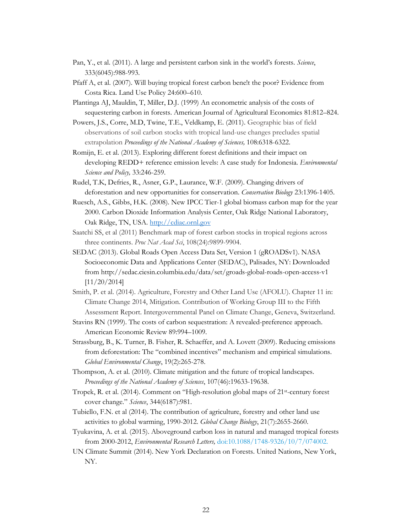- Pan, Y., et al. (2011). A large and persistent carbon sink in the world's forests. *Science*, 333(6045):988-993.
- Pfaff A, et al. (2007). Will buying tropical forest carbon bene!t the poor? Evidence from Costa Rica. Land Use Policy 24:600–610.
- Plantinga AJ, Mauldin, T, Miller, D.J. (1999) An econometric analysis of the costs of sequestering carbon in forests. American Journal of Agricultural Economics 81:812–824.
- Powers, J.S., Corre, M.D, Twine, T.E., Veldkamp, E. (2011). Geographic bias of field observations of soil carbon stocks with tropical land-use changes precludes spatial extrapolation *Proceedings of the National Academy of Sciences,* 108:6318-6322.
- Romijn, E. et al. (2013). Exploring different forest definitions and their impact on developing REDD+ reference emission levels: A case study for Indonesia. *Environmental Science and Policy,* 33:246-259.
- Rudel, T.K, Defries, R., Asner, G.P., Laurance, W.F. (2009). Changing drivers of deforestation and new opportunities for conservation. *Conservation Biology* 23:1396-1405.
- Ruesch, A.S., Gibbs, H.K. (2008). New IPCC Tier-1 global biomass carbon map for the year 2000. Carbon Dioxide Information Analysis Center, Oak Ridge National Laboratory, Oak Ridge, TN, USA. [http://cdiac.ornl.gov](http://cdiac.ornl.gov/)
- Saatchi SS, et al (2011) Benchmark map of forest carbon stocks in tropical regions across three continents. *Proc Nat Acad Sci*, 108(24):9899-9904.
- SEDAC (2013). Global Roads Open Access Data Set, Version 1 (gROADSv1). NASA Socioeconomic Data and Applications Center (SEDAC), Palisades, NY: Downloaded from http://sedac.ciesin.columbia.edu/data/set/groads-global-roads-open-access-v1 [11/20/2014]
- Smith, P. et al. (2014). Agriculture, Forestry and Other Land Use (AFOLU). Chapter 11 in: Climate Change 2014, Mitigation. Contribution of Working Group III to the Fifth Assessment Report. Intergovernmental Panel on Climate Change, Geneva, Switzerland.
- Stavins RN (1999). The costs of carbon sequestration: A revealed-preference approach. American Economic Review 89:994–1009.
- Strassburg, B., K. Turner, B. Fisher, R. Schaeffer, and A. Lovett (2009). Reducing emissions from deforestation: The "combined incentives" mechanism and empirical simulations. *Global Environmental Change*, 19(2):265-278.
- Thompson, A. et al. (2010). Climate mitigation and the future of tropical landscapes. *Proceedings of the National Academy of Sciences*, 107(46):19633-19638.
- Tropek, R. et al. (2014). Comment on "High-resolution global maps of 21st-century forest cover change." *Science*, 344(6187):981.
- Tubiello, F.N. et al (2014). The contribution of agriculture, forestry and other land use activities to global warming, 1990-2012. *Global Change Biology*, 21(7):2655-2660.
- Tyukavina, A. et al. (2015). Aboveground carbon loss in natural and managed tropical forests from 2000-2012, *Environmental Research Letters,* doi:10.1088/1748-9326/10/7/074002.
- UN Climate Summit (2014). New York Declaration on Forests. United Nations, New York, NY.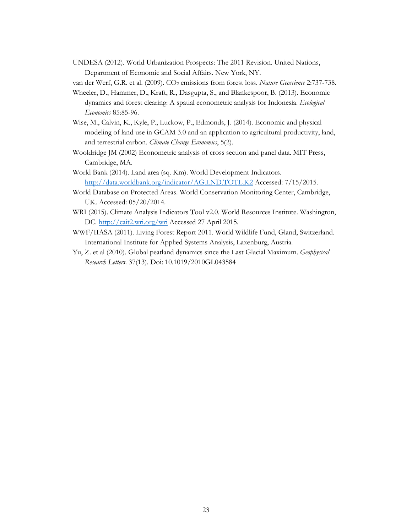UNDESA (2012). World Urbanization Prospects: The 2011 Revision. United Nations, Department of Economic and Social Affairs. New York, NY.

van der Werf, G.R. et al. (2009). CO2 emissions from forest loss. *Nature Geoscience* 2:737-738.

- Wheeler, D., Hammer, D., Kraft, R., Dasgupta, S., and Blankespoor, B. (2013). Economic dynamics and forest clearing: A spatial econometric analysis for Indonesia. *Ecological Economics* 85:85-96.
- Wise, M., Calvin, K., Kyle, P., Luckow, P., Edmonds, J. (2014). Economic and physical modeling of land use in GCAM 3.0 and an application to agricultural productivity, land, and terrestrial carbon. *Climate Change Economics*, 5(2).
- Wooldridge JM (2002) Econometric analysis of cross section and panel data. MIT Press, Cambridge, MA.
- World Bank (2014). Land area (sq. Km). World Development Indicators. <http://data.worldbank.org/indicator/AG.LND.TOTL.K2> Accessed: 7/15/2015.
- World Database on Protected Areas. World Conservation Monitoring Center, Cambridge, UK. Accessed: 05/20/2014.
- WRI (2015). Climate Analysis Indicators Tool v2.0. World Resources Institute. Washington, DC.<http://cait2.wri.org/wri> Accessed 27 April 2015.
- WWF/IIASA (2011). Living Forest Report 2011. World Wildlife Fund, Gland, Switzerland. International Institute for Applied Systems Analysis, Laxenburg, Austria.
- Yu, Z. et al (2010). Global peatland dynamics since the Last Glacial Maximum. *Geophysical Research Letters*. 37(13). Doi: 10.1019/2010GL043584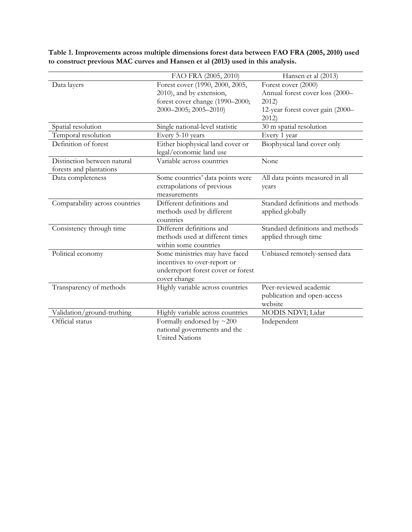|                                                        | FAO FRA (2005, 2010)                                                                                                    | Hansen et al (2013)                                                                                        |  |
|--------------------------------------------------------|-------------------------------------------------------------------------------------------------------------------------|------------------------------------------------------------------------------------------------------------|--|
| Data layers                                            | Forest cover (1990, 2000, 2005,<br>2010), and by extension,<br>forest cover change (1990-2000;<br>2000-2005; 2005-2010) | Forest cover (2000)<br>Annual forest cover loss (2000-<br>2012<br>12-year forest cover gain (2000-<br>2012 |  |
| Spatial resolution                                     | Single national-level statistic                                                                                         | $30 \text{ m}$ spatial resolution                                                                          |  |
| Temporal resolution                                    | Every 5-10 years                                                                                                        | Every 1 year                                                                                               |  |
| Definition of forest                                   | Either biophysical land cover or<br>legal/economic land use                                                             | Biophysical land cover only                                                                                |  |
| Distinction between natural<br>forests and plantations | Variable across countries                                                                                               | None                                                                                                       |  |
| Data completeness                                      | Some countries' data points were<br>extrapolations of previous<br>measurements                                          | All data points measured in all<br>years                                                                   |  |
| Comparability across countries                         | Different definitions and<br>methods used by different<br>countries                                                     | Standard definitions and methods<br>applied globally                                                       |  |
| Consistency through time                               | Different definitions and<br>methods used at different times<br>within some countries                                   | Standard definitions and methods<br>applied through time                                                   |  |
| Political economy                                      | Some ministries may have faced<br>incentives to over-report or<br>underreport forest cover or forest<br>cover change    | Unbiased remotely-sensed data                                                                              |  |
| Transparency of methods                                | Highly variable across countries                                                                                        | Peer-reviewed academic<br>publication and open-access<br>website                                           |  |
| Validation/ground-truthing                             | Highly variable across countries                                                                                        | MODIS NDVI; Lidar                                                                                          |  |
| Official status                                        | Formally endorsed by $\sim$ 200<br>national governments and the<br><b>United Nations</b>                                | Independent                                                                                                |  |

**Table 1. Improvements across multiple dimensions forest data between FAO FRA (2005, 2010) used to construct previous MAC curves and Hansen et al (2013) used in this analysis.**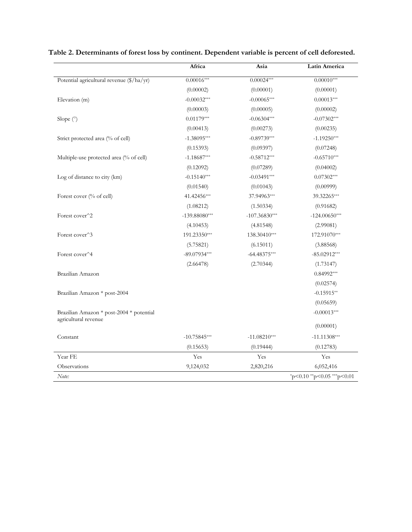|                                                                  | Africa          | Asia            | Latin America              |
|------------------------------------------------------------------|-----------------|-----------------|----------------------------|
| Potential agricultural revenue (\$/ha/yr)                        | $0.00016***$    | $0.00024***$    | $0.00010***$               |
|                                                                  | (0.00002)       | (0.00001)       | (0.00001)                  |
| Elevation (m)                                                    | $-0.00032***$   | $-0.00065***$   | $0.00013***$               |
|                                                                  | (0.00003)       | (0.00005)       | (0.00002)                  |
| Slope $(°)$                                                      | $0.01179***$    | $-0.06304***$   | $-0.07302***$              |
|                                                                  | (0.00413)       | (0.00273)       | (0.00235)                  |
| Strict protected area (% of cell)                                | $-1.38095***$   | $-0.89739***$   | $-1.19250***$              |
|                                                                  | (0.15393)       | (0.09397)       | (0.07248)                  |
| Multiple-use protected area (% of cell)                          | $-1.18687***$   | $-0.58712***$   | $-0.65710***$              |
|                                                                  | (0.12092)       | (0.07289)       | (0.04002)                  |
| Log of distance to city (km)                                     | $-0.15140***$   | $-0.03491***$   | $0.07302***$               |
|                                                                  | (0.01540)       | (0.01043)       | (0.00999)                  |
| Forest cover (% of cell)                                         | 41.42456***     | 37.94963***     | 39.32265***                |
|                                                                  | (1.08212)       | (1.50334)       | (0.91682)                  |
| Forest cover <sup>^2</sup>                                       | $-139.88080***$ | $-107.36830***$ | $-124.00650***$            |
|                                                                  | (4.10453)       | (4.81548)       | (2.99081)                  |
| Forest cover <sup>^</sup> 3                                      | 191.23350***    | 138.30410***    | 172.91070***               |
|                                                                  | (5.75821)       | (6.15011)       | (3.88568)                  |
| Forest cover <sup>^4</sup>                                       | $-89.07934***$  | $-64.48375***$  | $-85.02912***$             |
|                                                                  | (2.66478)       | (2.70344)       | (1.73147)                  |
| Brazilian Amazon                                                 |                 |                 | $0.84992***$               |
|                                                                  |                 |                 | (0.02574)                  |
| Brazilian Amazon * post-2004                                     |                 |                 | $-0.15915**$               |
|                                                                  |                 |                 | (0.05659)                  |
| Brazilian Amazon * post-2004 * potential<br>agricultural revenue |                 |                 | $-0.00013***$              |
|                                                                  |                 |                 | (0.00001)                  |
| Constant                                                         | $-10.75845***$  | $-11.08210***$  | $-11.11308***$             |
|                                                                  | (0.15653)       | (0.19444)       | (0.12783)                  |
| Year FE                                                          | Yes             | Yes             | Yes                        |
| Observations                                                     | 9,124,032       | 2,820,216       | 6,052,416                  |
| Note:                                                            |                 |                 | *p<0.10 **p<0.05 ***p<0.01 |

**Table 2. Determinants of forest loss by continent. Dependent variable is percent of cell deforested.**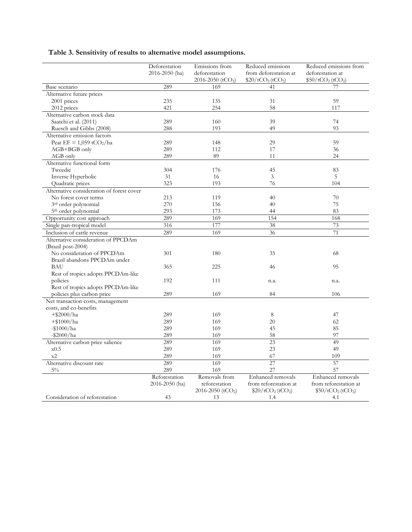### **Table 3. Sensitivity of results to alternative model assumptions.**

|                                           | Deforestation<br>2016-2050 (ha) | Emissions from<br>deforestation | Reduced emissions<br>from deforestation at | Reduced emissions from<br>deforestation at |
|-------------------------------------------|---------------------------------|---------------------------------|--------------------------------------------|--------------------------------------------|
|                                           |                                 | 2016-2050 (tCO <sub>2</sub> )   | \$20/tCO <sub>2</sub> (tCO <sub>2</sub> )  | \$50/tCO <sub>2</sub> (tCO <sub>2</sub> )  |
| Base scenario                             | 289                             | 169                             | 41                                         | 77                                         |
| Alternative future prices                 |                                 |                                 |                                            |                                            |
| 2001 prices                               | 235                             | 135                             | 31                                         | 59                                         |
| 2012 prices                               | 421                             | 254                             | 58                                         | 117                                        |
| Alternative carbon stock data             |                                 |                                 |                                            |                                            |
| Saatchi et al. (2011)                     | 289                             | 160                             | 39                                         | 74                                         |
| Ruesch and Gibbs (2008)                   | 288                             | 193                             | 49                                         | 93                                         |
| Alternative emission factors              |                                 |                                 |                                            |                                            |
| Peat EF = $1,059$ tCO <sub>2</sub> /ha    | 289                             | 148                             | 29                                         | 59                                         |
| AGB+BGB only                              | 289                             | 112                             | 17                                         | 36                                         |
| AGB only                                  | 289                             | 89                              | 11                                         | 24                                         |
| Alternative functional form               |                                 |                                 |                                            |                                            |
| Tweedie                                   | 304                             | 176                             | 45                                         | 83                                         |
| Inverse Hyperbolic                        | 31                              | 16                              | 3                                          | 5                                          |
| Quadratic prices                          | 323                             | 193                             | 76                                         | 104                                        |
| Alternative consideration of forest cover |                                 |                                 |                                            |                                            |
| No forest cover terms                     | 213                             | 119                             | 40                                         | 70                                         |
| 3 <sup>rd</sup> order polynomial          | 270                             | 156                             | 40                                         | 75                                         |
| 5 <sup>th</sup> order polynomial          | 293                             | 173                             | 44                                         | 83                                         |
| Opportunity cost approach                 | 289                             | 169                             | 154                                        | 168                                        |
| Single pan-tropical model                 | 316                             | 177                             | 38                                         | 73                                         |
| Inclusion of cattle revenue               | 289                             | 169                             | 36                                         | 71                                         |
| Alternative consideration of PPCDAm       |                                 |                                 |                                            |                                            |
| (Brazil post-2004)                        |                                 |                                 |                                            |                                            |
| No consideration of PPCDAm                | 301                             | 180                             | 35                                         | 68                                         |
| Brazil abandons PPCDAm under              |                                 |                                 |                                            |                                            |
| BAU                                       | 365                             | 225                             | 46                                         | 95                                         |
| Rest of tropics adopts PPCDAm-like        |                                 |                                 |                                            |                                            |
| policies                                  | 192                             | 111                             | n.a.                                       | n.a.                                       |
| Rest of tropics adopts PPCDAm-like        |                                 |                                 |                                            |                                            |
| policies plus carbon price                | 289                             | 169                             | 84                                         | 106                                        |
| Net transaction costs, management         |                                 |                                 |                                            |                                            |
| costs, and co-benefits                    |                                 |                                 |                                            |                                            |
| $+$ \$2000/ha                             | 289                             | 169                             | 8                                          | 47                                         |
| $+ $1000/ha$                              | 289                             | 169                             | 20                                         | 62                                         |
| $-$1000/ha$                               | 289                             | 169                             | 45                                         | 85                                         |
| $-$ \$2000/ha                             | 289                             | 169                             | 58                                         | 97                                         |
| Alternative carbon price salience         | 289                             | 169                             | 23                                         | 49                                         |
| x0.5                                      | 289                             | 169                             | 23                                         | 49                                         |
| x2                                        | 289                             | 169                             | 67                                         | 109                                        |
| Alternative discount rate                 | 289                             | 169                             | $\overline{27}$                            | $\overline{57}$                            |
| $5\%$                                     | 289                             | 169                             | 27                                         | 57                                         |
|                                           | Reforestation                   | Removals from                   | Enhanced removals                          | Enhanced removals                          |
|                                           | 2016-2050 (ha)                  | reforestation                   | from reforestation at                      | from reforestation at                      |
|                                           |                                 | 2016-2050 (tCO <sub>2</sub> )   | \$20/tCO <sub>2</sub> (tCO <sub>2</sub> )  | \$50/tCO <sub>2</sub> (tCO <sub>2</sub> )  |
| Consideration of reforestation            | 43                              | 13                              | 1.4                                        | 4.1                                        |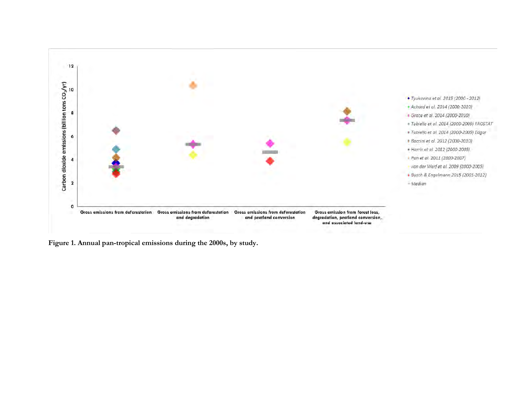

**Figure 1. Annual pan-tropical emissions during the 2000s, by study.**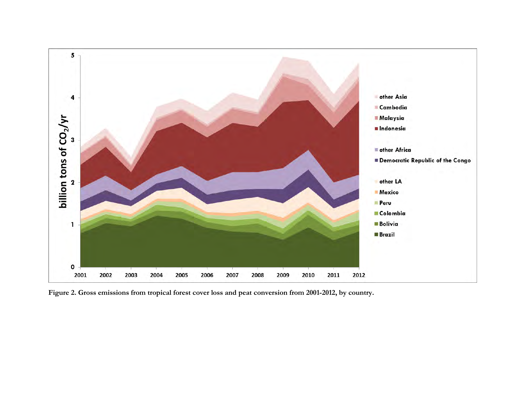

**Figure 2. Gross emissions from tropical forest cover loss and peat conversion from 2001-2012, by country.**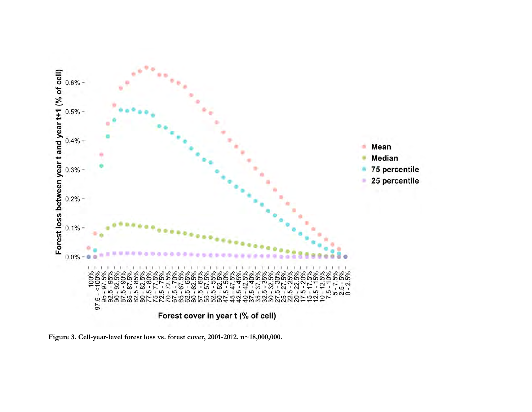

**Figure 3. Cell-year-level forest loss vs. forest cover, 2001-2012. n~18,000,000.**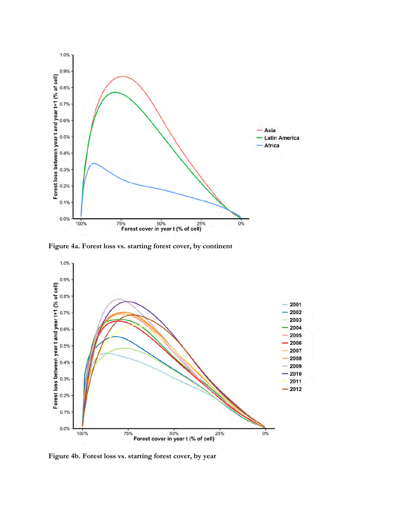

**Figure 4a. Forest loss vs. starting forest cover, by continent**



**Figure 4b. Forest loss vs. starting forest cover, by year**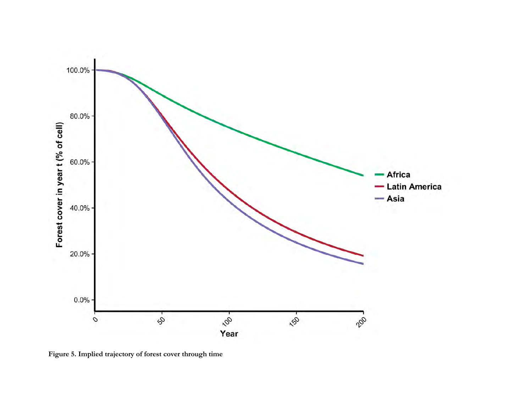

**Figure 5. Implied trajectory of forest cover through time**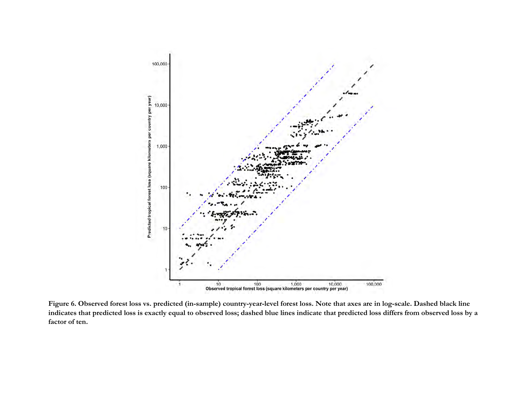

**Figure 6. Observed forest loss vs. predicted (in-sample) country-year-level forest loss. Note that axes are in log-scale. Dashed black line indicates that predicted loss is exactly equal to observed loss; dashed blue lines indicate that predicted loss differs from observed loss by a factor of ten.**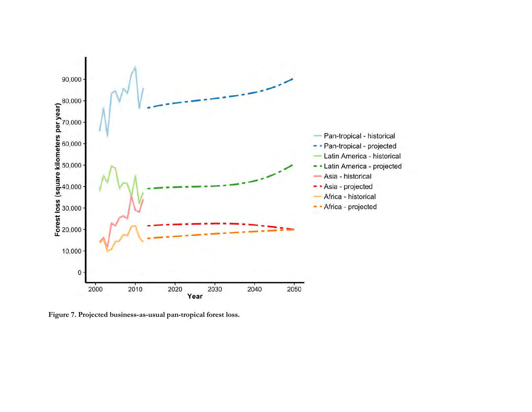

**Figure 7. Projected business-as-usual pan-tropical forest loss.**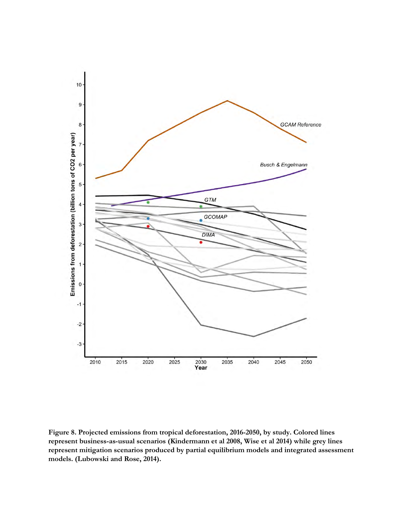

**Figure 8. Projected emissions from tropical deforestation, 2016-2050, by study. Colored lines represent business-as-usual scenarios (Kindermann et al 2008, Wise et al 2014) while grey lines represent mitigation scenarios produced by partial equilibrium models and integrated assessment models. (Lubowski and Rose, 2014).**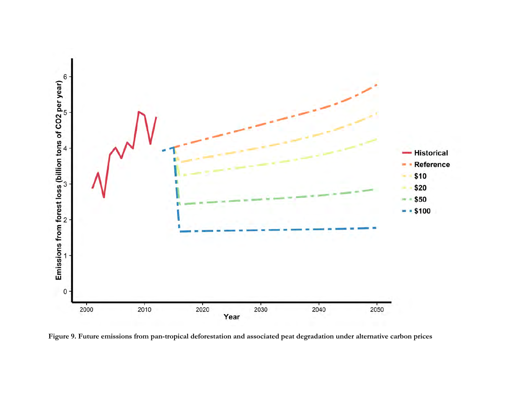

**Figure 9. Future emissions from pan-tropical deforestation and associated peat degradation under alternative carbon prices**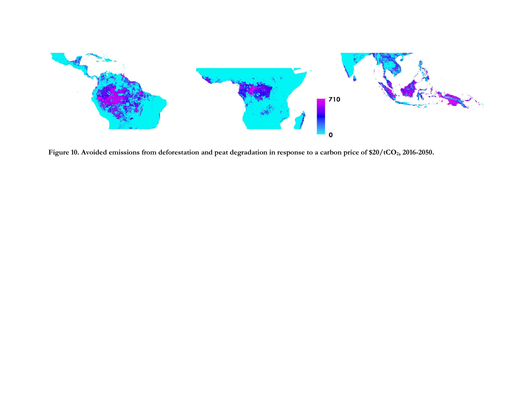

Figure 10. Avoided emissions from deforestation and peat degradation in response to a carbon price of \$20/tCO<sub>2</sub>, 2016-2050.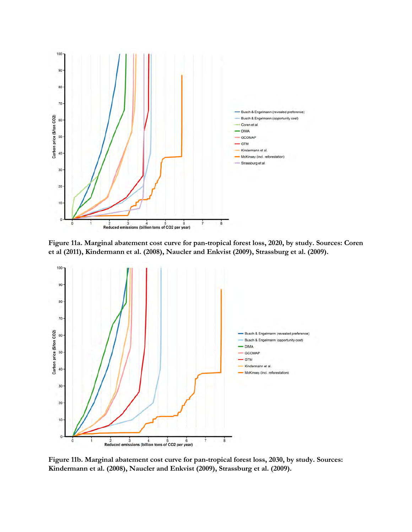

**Figure 11a. Marginal abatement cost curve for pan-tropical forest loss, 2020, by study. Sources: Coren et al (2011), Kindermann et al. (2008), Naucler and Enkvist (2009), Strassburg et al. (2009).**



**Figure 11b. Marginal abatement cost curve for pan-tropical forest loss, 2030, by study. Sources: Kindermann et al. (2008), Naucler and Enkvist (2009), Strassburg et al. (2009).**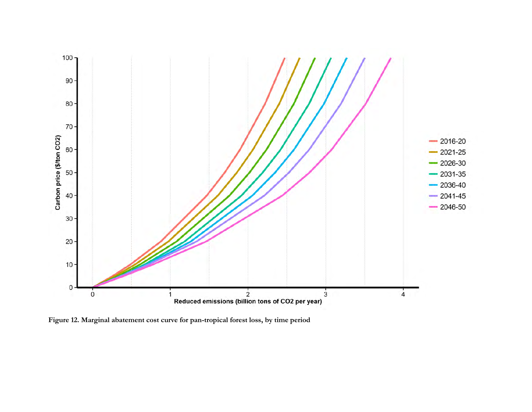

**Figure 12. Marginal abatement cost curve for pan-tropical forest loss, by time period**